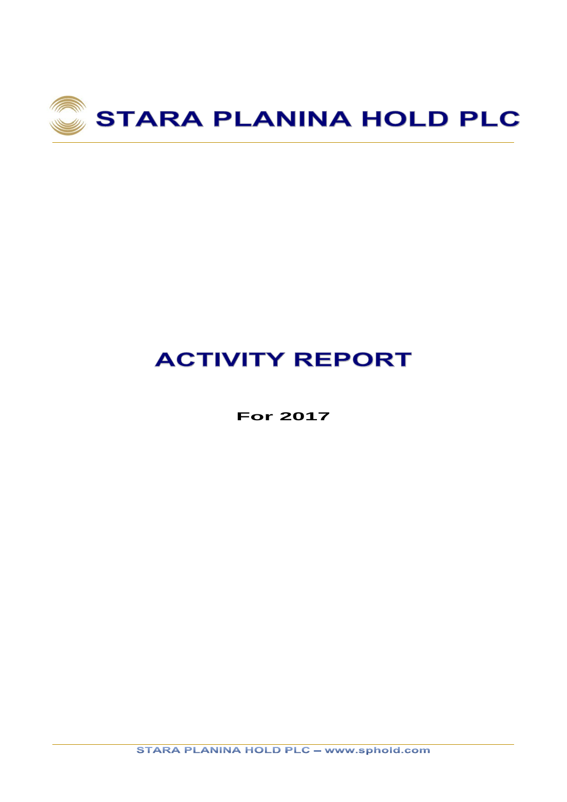

# **ACTIVITY REPORT**

**For 2017**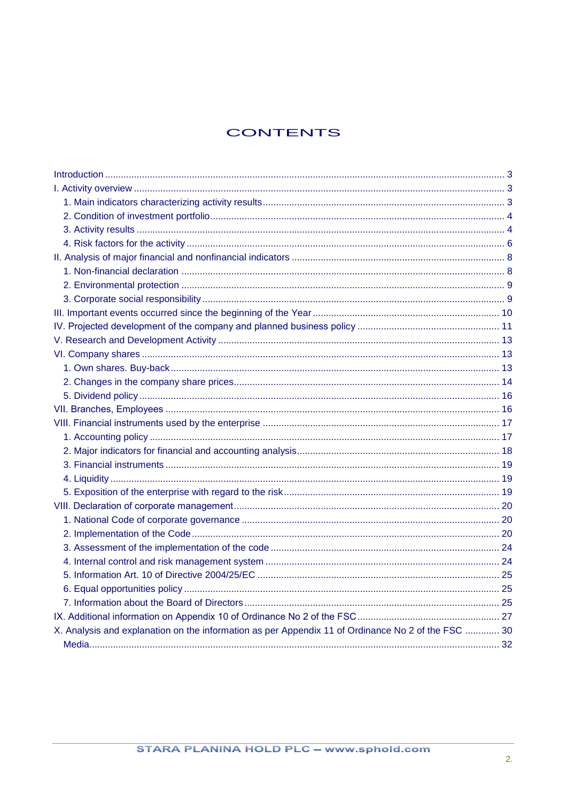# **CONTENTS**

| X. Analysis and explanation on the information as per Appendix 11 of Ordinance No 2 of the FSC  30 |  |
|----------------------------------------------------------------------------------------------------|--|
|                                                                                                    |  |
|                                                                                                    |  |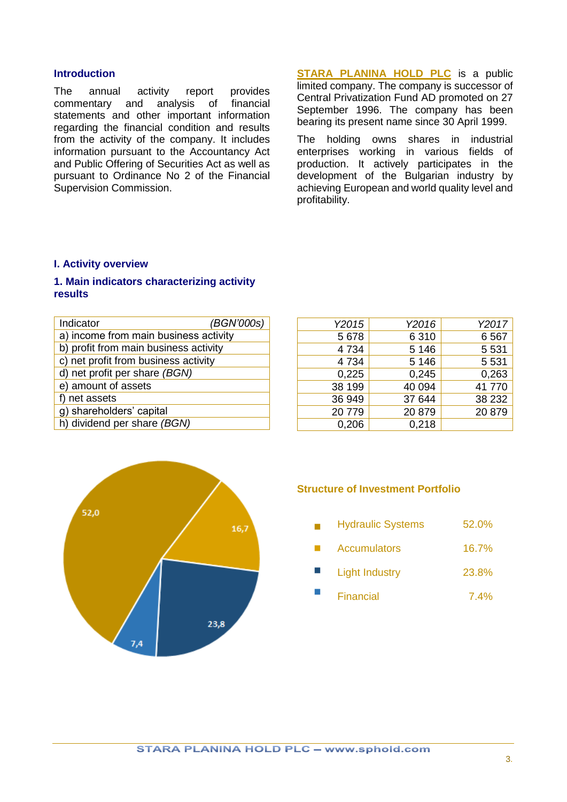#### <span id="page-2-0"></span>**Introduction**

The annual activity report provides commentary and analysis of financial statements and other important information regarding the financial condition and results from the activity of the company. It includes information pursuant to the Accountancy Act and Public Offering of Securities Act as well as pursuant to Ordinance No 2 of the Financial Supervision Commission.

**[STARA PLANINA HOLD PLC](http://www.sphold.com/en)** is a public limited company. The company is successor of Central Privatization Fund AD promoted on 27 September 1996. The company has been bearing its present name since 30 April 1999.

The holding owns shares in industrial enterprises working in various fields of production. It actively participates in the development of the Bulgarian industry by achieving European and world quality level and profitability.

#### <span id="page-2-1"></span>**I. Activity overview**

#### <span id="page-2-2"></span>**1. Main indicators characterizing activity results**

| Indicator                             | (BGN'000s) |
|---------------------------------------|------------|
| a) income from main business activity |            |
| b) profit from main business activity |            |
| c) net profit from business activity  |            |
| d) net profit per share (BGN)         |            |
| e) amount of assets                   |            |
| f) net assets                         |            |
| g) shareholders' capital              |            |
| h) dividend per share (BGN)           |            |

| Y2015  | Y2016   | Y2017   |
|--------|---------|---------|
| 5678   | 6310    | 6567    |
| 4734   | 5 1 4 6 | 5 5 3 1 |
| 4734   | 5 1 4 6 | 5 5 3 1 |
| 0,225  | 0.245   | 0,263   |
| 38 199 | 40 094  | 41770   |
| 36 949 | 37 644  | 38 232  |
| 20779  | 20 879  | 20 879  |
| 0,206  | 0,218   |         |



#### **Structure of Investment Portfolio**

- Hydraulic Systems 52.0%  $\mathbf{r}$
- **Accumulators** 16.7% m.
- Light Industry 23.8%
- Financial 7.4%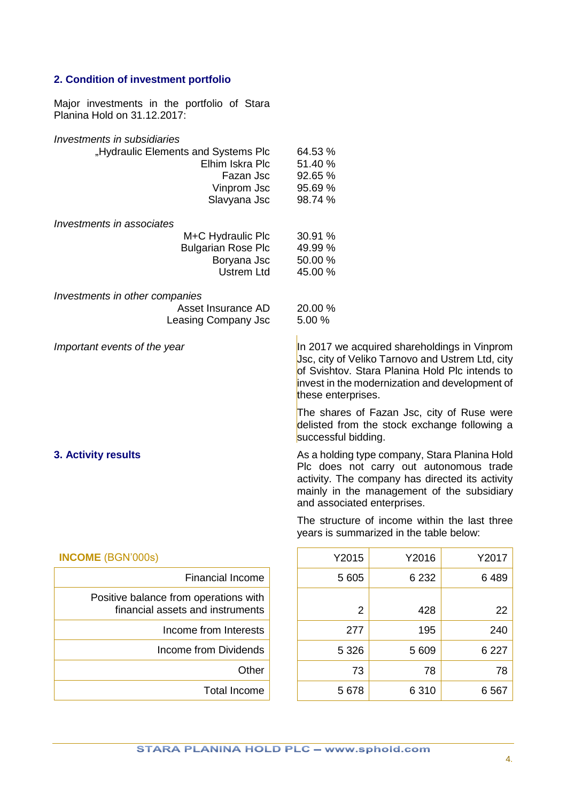# <span id="page-3-0"></span>**2. Condition of investment portfolio**

Major investments in the portfolio of Stara Planina Hold on 31.12.2017:

<span id="page-3-1"></span>

| Investments in subsidiaries                                               |                                         |         |                                                                                                                                                                                           |
|---------------------------------------------------------------------------|-----------------------------------------|---------|-------------------------------------------------------------------------------------------------------------------------------------------------------------------------------------------|
| "Hydraulic Elements and Systems Plc<br>Elhim Iskra Plc                    | 64.53 %<br>51.40 %                      |         |                                                                                                                                                                                           |
| Fazan Jsc                                                                 | 92.65 %                                 |         |                                                                                                                                                                                           |
| Vinprom Jsc                                                               | 95.69%                                  |         |                                                                                                                                                                                           |
| Slavyana Jsc                                                              | 98.74 %                                 |         |                                                                                                                                                                                           |
| Investments in associates                                                 | 30.91 %                                 |         |                                                                                                                                                                                           |
| M+C Hydraulic Plc<br><b>Bulgarian Rose Plc</b>                            | 49.99 %                                 |         |                                                                                                                                                                                           |
| Boryana Jsc                                                               | 50.00 %                                 |         |                                                                                                                                                                                           |
| <b>Ustrem Ltd</b>                                                         | 45.00 %                                 |         |                                                                                                                                                                                           |
|                                                                           |                                         |         |                                                                                                                                                                                           |
| Investments in other companies                                            |                                         |         |                                                                                                                                                                                           |
| Asset Insurance AD                                                        | 20.00 %                                 |         |                                                                                                                                                                                           |
| Leasing Company Jsc                                                       | 5.00 %                                  |         |                                                                                                                                                                                           |
| Important events of the year                                              |                                         |         | In 2017 we acquired shareholdings in Vinprom                                                                                                                                              |
|                                                                           | these enterprises.                      |         | Jsc, city of Veliko Tarnovo and Ustrem Ltd, city<br>of Svishtov. Stara Planina Hold Plc intends to<br>invest in the modernization and development of                                      |
|                                                                           | successful bidding.                     |         | The shares of Fazan Jsc, city of Ruse were<br>delisted from the stock exchange following a                                                                                                |
| 3. Activity results                                                       | and associated enterprises.             |         | As a holding type company, Stara Planina Hold<br>Plc does not carry out autonomous trade<br>activity. The company has directed its activity<br>mainly in the management of the subsidiary |
|                                                                           | years is summarized in the table below: |         | The structure of income within the last three                                                                                                                                             |
| <b>INCOME</b> (BGN'000s)                                                  | Y2015                                   | Y2016   | Y2017                                                                                                                                                                                     |
| <b>Financial Income</b>                                                   | 5 605                                   | 6 2 3 2 | 6489                                                                                                                                                                                      |
| Positive balance from operations with<br>financial assets and instruments | $\overline{2}$                          | 428     | 22                                                                                                                                                                                        |
| Income from Interests                                                     | 277                                     | 195     | 240                                                                                                                                                                                       |
| <b>Income from Dividends</b>                                              | 5 3 2 6                                 | 5 609   | 6 2 2 7                                                                                                                                                                                   |
| Other                                                                     | 73                                      | 78      | 78                                                                                                                                                                                        |

5 678 6 310 6 567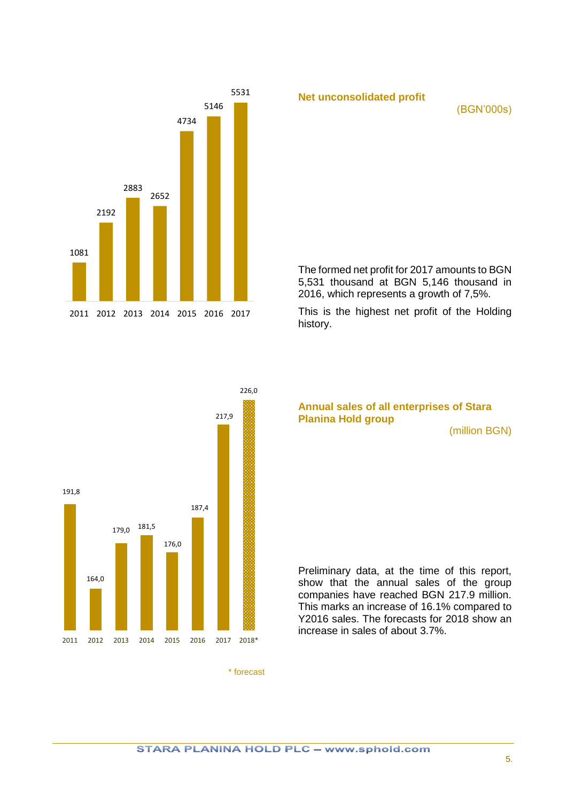

**Net unconsolidated profit** 

(BGN'000s)

The formed net profit for 2017 amounts to BGN 5,531 thousand at BGN 5,146 thousand in 2016, which represents a growth of 7,5%.

This is the highest net profit of the Holding history.



### **Annual sales of all enterprises of Stara Planina Hold group**

(million BGN)

Preliminary data, at the time of this report, show that the annual sales of the group companies have reached BGN 217.9 million. This marks an increase of 16.1% compared to Y2016 sales. The forecasts for 2018 show an increase in sales of about 3.7%.

\* forecast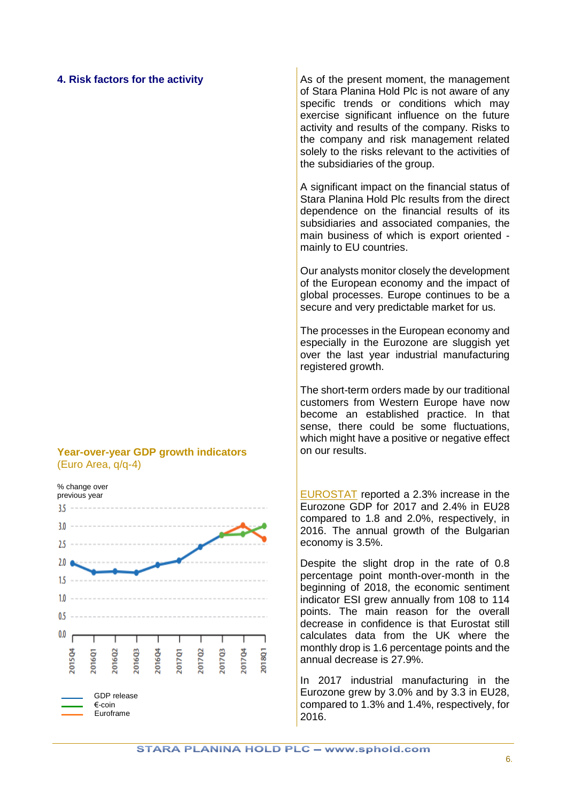#### <span id="page-5-0"></span>**4. Risk factors for the activity**

#### **Year-over-year GDP growth indicators** (Euro Area, q/q-4)

% change over previous year



As of the present moment, the management of Stara Planina Hold Plc is not aware of any specific trends or conditions which may exercise significant influence on the future activity and results of the company. Risks to the company and risk management related solely to the risks relevant to the activities of the subsidiaries of the group.

A significant impact on the financial status of Stara Planina Hold Plc results from the direct dependence on the financial results of its subsidiaries and associated companies, the main business of which is export oriented mainly to EU countries.

Our analysts monitor closely the development of the European economy and the impact of global processes. Europe continues to be a secure and very predictable market for us.

The processes in the European economy and especially in the Eurozone are sluggish yet over the last year industrial manufacturing registered growth.

The short-term orders made by our traditional customers from Western Europe have now become an established practice. In that sense, there could be some fluctuations, which might have a positive or negative effect on our results.

[EUROSTAT](http://ec.europa.eu/eurostat/data/database) reported a 2.3% increase in the Eurozone GDP for 2017 and 2.4% in EU28 compared to 1.8 and 2.0%, respectively, in 2016. The annual growth of the Bulgarian economy is 3.5%.

Despite the slight drop in the rate of 0.8 percentage point month-over-month in the beginning of 2018, the economic sentiment indicator ESI grew annually from 108 to 114 points. The main reason for the overall decrease in confidence is that Eurostat still calculates data from the UK where the monthly drop is 1.6 percentage points and the annual decrease is 27.9%.

In 2017 industrial manufacturing in the Eurozone grew by 3.0% and by 3.3 in EU28, compared to 1.3% and 1.4%, respectively, for 2016.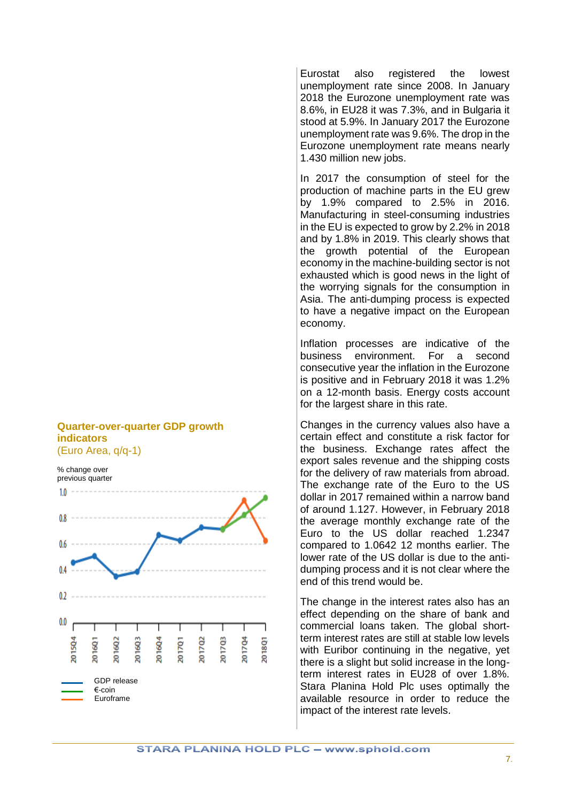#### **Quarter-over-quarter GDP growth indicators** (Euro Area, q/q-1)



Eurostat also registered the lowest unemployment rate since 2008. In January 2018 the Eurozone unemployment rate was 8.6%, in EU28 it was 7.3%, and in Bulgaria it stood at 5.9%. In January 2017 the Eurozone unemployment rate was 9.6%. The drop in the Eurozone unemployment rate means nearly 1.430 million new jobs.

In 2017 the consumption of steel for the production of machine parts in the EU grew by 1.9% compared to 2.5% in 2016. Manufacturing in steel-consuming industries in the EU is expected to grow by 2.2% in 2018 and by 1.8% in 2019. This clearly shows that the growth potential of the European economy in the machine-building sector is not exhausted which is good news in the light of the worrying signals for the consumption in Asia. The anti-dumping process is expected to have a negative impact on the European economy.

Inflation processes are indicative of the business environment. For a second consecutive year the inflation in the Eurozone is positive and in February 2018 it was 1.2% on a 12-month basis. Energy costs account for the largest share in this rate.

Changes in the currency values also have a certain effect and constitute a risk factor for the business. Exchange rates affect the export sales revenue and the shipping costs for the delivery of raw materials from abroad. The exchange rate of the Euro to the US dollar in 2017 remained within a narrow band of around 1.127. However, in February 2018 the average monthly exchange rate of the Euro to the US dollar reached 1.2347 compared to 1.0642 12 months earlier. The lower rate of the US dollar is due to the antidumping process and it is not clear where the end of this trend would be.

The change in the interest rates also has an effect depending on the share of bank and commercial loans taken. The global shortterm interest rates are still at stable low levels with Euribor continuing in the negative, yet there is a slight but solid increase in the longterm interest rates in EU28 of over 1.8%. Stara Planina Hold Plc uses optimally the available resource in order to reduce the impact of the interest rate levels.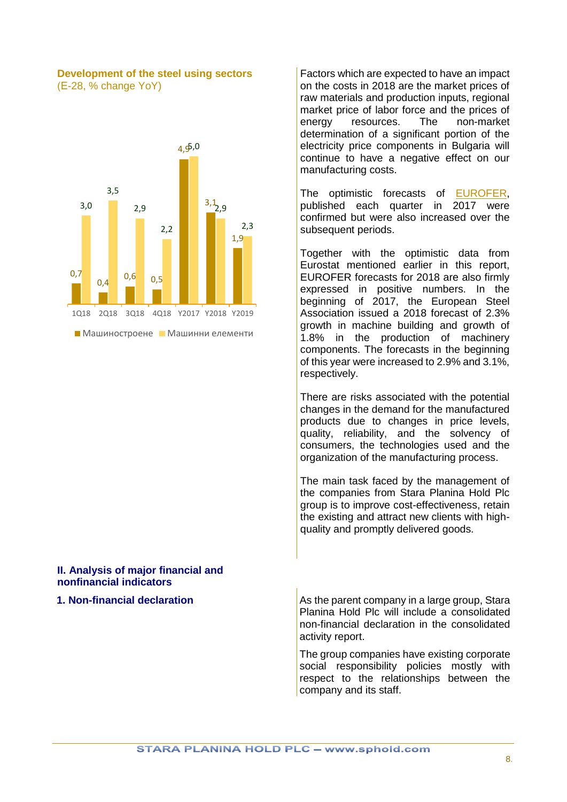#### **Development of the steel using sectors** (Е-28, % change YoY)



#### <span id="page-7-0"></span>**II. Analysis of major financial and nonfinancial indicators**

Factors which are expected to have an impact on the costs in 2018 are the market prices of raw materials and production inputs, regional market price of labor force and the prices of energy resources. The non-market determination of a significant portion of the electricity price components in Bulgaria will continue to have a negative effect on our manufacturing costs.

The optimistic forecasts of [EUROFER,](http://www.eurofer.org/) published each quarter in 2017 were confirmed but were also increased over the subsequent periods.

Together with the optimistic data from Eurostat mentioned earlier in this report, EUROFER forecasts for 2018 are also firmly expressed in positive numbers. In the beginning of 2017, the European Steel Association issued a 2018 forecast of 2.3% growth in machine building and growth of 1.8% in the production of machinery components. The forecasts in the beginning of this year were increased to 2.9% and 3.1%, respectively.

There are risks associated with the potential changes in the demand for the manufactured products due to changes in price levels, quality, reliability, and the solvency of consumers, the technologies used and the organization of the manufacturing process.

The main task faced by the management of the companies from Stara Planina Hold Plc group is to improve cost-effectiveness, retain the existing and attract new clients with highquality and promptly delivered goods.

<span id="page-7-1"></span>**1. Non-financial declaration** As the parent company in a large group, Stara Planina Hold Plc will include a consolidated non-financial declaration in the consolidated activity report.

> The group companies have existing corporate social responsibility policies mostly with respect to the relationships between the company and its staff.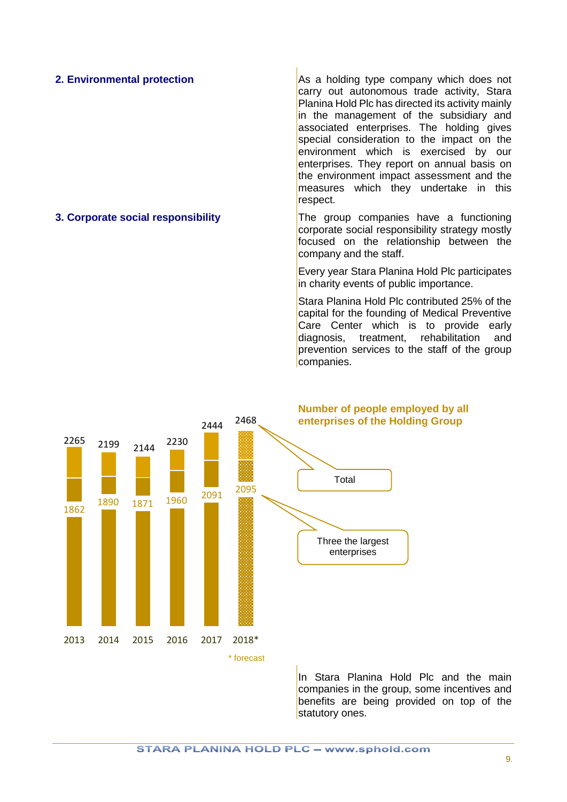<span id="page-8-0"></span>**2. Environmental protection** As a holding type company which does not carry out autonomous trade activity, Stara Planina Hold Plc has directed its activity mainly in the management of the subsidiary and associated enterprises. The holding gives special consideration to the impact on the environment which is exercised by our enterprises. They report on annual basis on the environment impact assessment and the measures which they undertake in this respect.

<span id="page-8-1"></span>**3. Corporate social responsibility** The group companies have a functioning corporate social responsibility strategy mostly focused on the relationship between the company and the staff.

> Every year Stara Planina Hold Plc participates in charity events of public importance.

> Stara Planina Hold Plc contributed 25% of the capital for the founding of Medical Preventive Care Center which is to provide early diagnosis, treatment, rehabilitation and prevention services to the staff of the group companies.



In Stara Planina Hold Plc and the main companies in the group, some incentives and benefits are being provided on top of the statutory ones.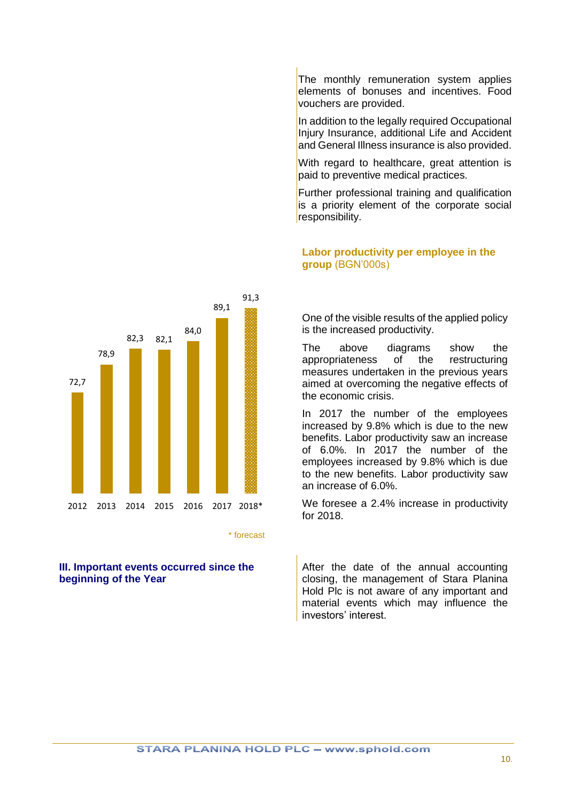The monthly remuneration system applies elements of bonuses and incentives. Food vouchers are provided.

In addition to the legally required Occupational Injury Insurance, additional Life and Accident and General Illness insurance is also provided.

With regard to healthcare, great attention is paid to preventive medical practices.

Further professional training and qualification is a priority element of the corporate social responsibility.

# **Labor productivity per employee in the group** (BGN'000s)

One of the visible results of the applied policy is the increased productivity.

The above diagrams show the appropriateness of the restructuring measures undertaken in the previous years aimed at overcoming the negative effects of the economic crisis.

In 2017 the number of the employees increased by 9.8% which is due to the new benefits. Labor productivity saw an increase of 6.0%. In 2017 the number of the employees increased by 9.8% which is due to the new benefits. Labor productivity saw an increase of 6.0%.

We foresee a 2.4% increase in productivity for 2018.

After the date of the annual accounting closing, the management of Stara Planina Hold Plc is not aware of any important and material events which may influence the investors' interest.



\* forecast

#### <span id="page-9-0"></span>**III. Important events occurred since the beginning of the Year**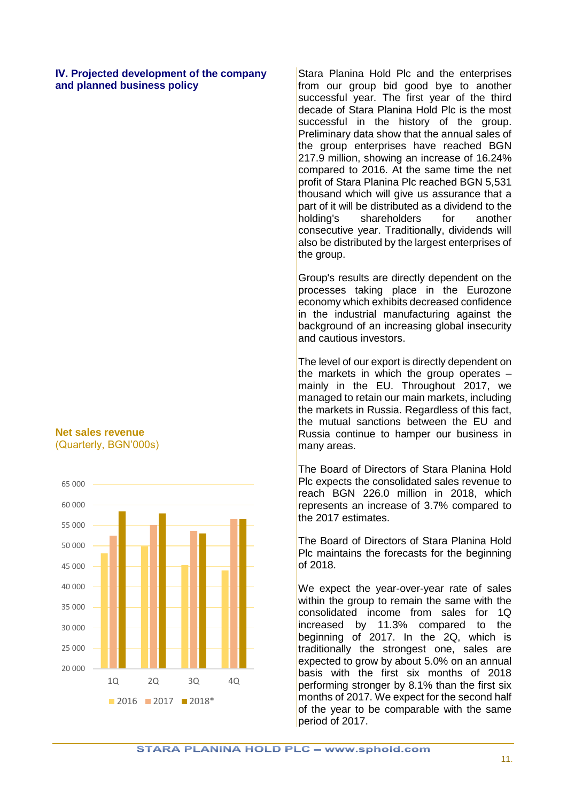<span id="page-10-0"></span>**ІV. Projected development of the company and planned business policy**

### **Net sales revenue** (Quarterly, BGN'000s)



Stara Planina Hold Plc and the enterprises from our group bid good bye to another successful year. The first year of the third decade of Stara Planina Hold Plc is the most successful in the history of the group. Preliminary data show that the annual sales of the group enterprises have reached BGN 217.9 million, showing an increase of 16.24% compared to 2016. At the same time the net profit of Stara Planina Plc reached BGN 5,531 thousand which will give us assurance that a part of it will be distributed as a dividend to the holding's shareholders for another consecutive year. Traditionally, dividends will also be distributed by the largest enterprises of the group.

Group's results are directly dependent on the processes taking place in the Eurozone economy which exhibits decreased confidence in the industrial manufacturing against the background of an increasing global insecurity and cautious investors.

The level of our export is directly dependent on the markets in which the group operates  $$ mainly in the EU. Throughout 2017, we managed to retain our main markets, including the markets in Russia. Regardless of this fact, the mutual sanctions between the EU and Russia continue to hamper our business in many areas.

The Board of Directors of Stara Planina Hold Plc expects the consolidated sales revenue to reach BGN 226.0 million in 2018, which represents an increase of 3.7% compared to the 2017 estimates.

The Board of Directors of Stara Planina Hold Plc maintains the forecasts for the beginning of 2018.

We expect the year-over-year rate of sales within the group to remain the same with the consolidated income from sales for 1Q increased by 11.3% compared to the beginning of 2017. In the 2Q, which is traditionally the strongest one, sales are expected to grow by about 5.0% on an annual basis with the first six months of 2018 performing stronger by 8.1% than the first six months of 2017. We expect for the second half of the year to be comparable with the same period of 2017.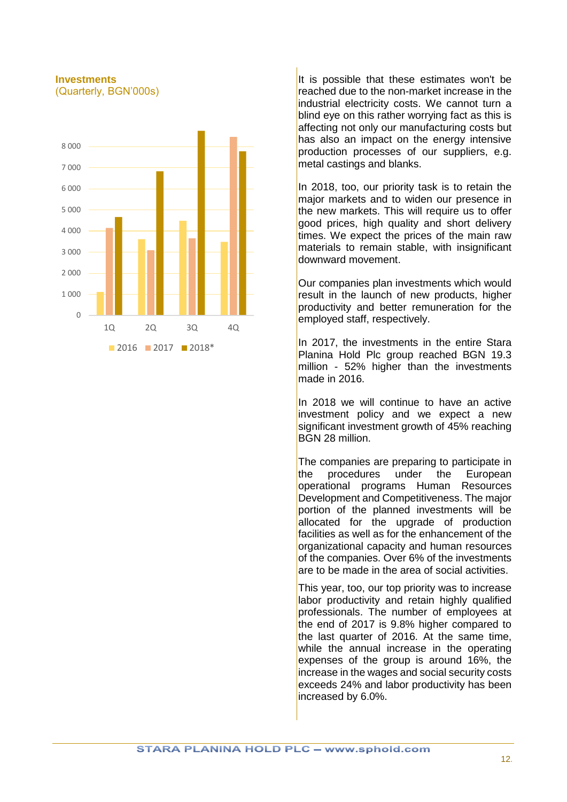#### **Investments**  (Quarterly, BGN'000s)



It is possible that these estimates won't be reached due to the non-market increase in the industrial electricity costs. We cannot turn a blind eye on this rather worrying fact as this is affecting not only our manufacturing costs but has also an impact on the energy intensive production processes of our suppliers, e.g. metal castings and blanks.

In 2018, too, our priority task is to retain the major markets and to widen our presence in the new markets. This will require us to offer good prices, high quality and short delivery times. We expect the prices of the main raw materials to remain stable, with insignificant downward movement.

Our companies plan investments which would result in the launch of new products, higher productivity and better remuneration for the employed staff, respectively.

In 2017, the investments in the entire Stara Planina Hold Plc group reached BGN 19.3 million - 52% higher than the investments made in 2016.

In 2018 we will continue to have an active investment policy and we expect a new significant investment growth of 45% reaching BGN 28 million.

The companies are preparing to participate in the procedures under the European operational programs Human Resources Development and Competitiveness. The major portion of the planned investments will be allocated for the upgrade of production facilities as well as for the enhancement of the organizational capacity and human resources of the companies. Over 6% of the investments are to be made in the area of social activities.

This year, too, our top priority was to increase labor productivity and retain highly qualified professionals. The number of employees at the end of 2017 is  $9.8\%$  higher compared to the last quarter of 2016. At the same time, while the annual increase in the operating expenses of the group is around 16%, the increase in the wages and social security costs exceeds 24% and labor productivity has been increased by 6.0%.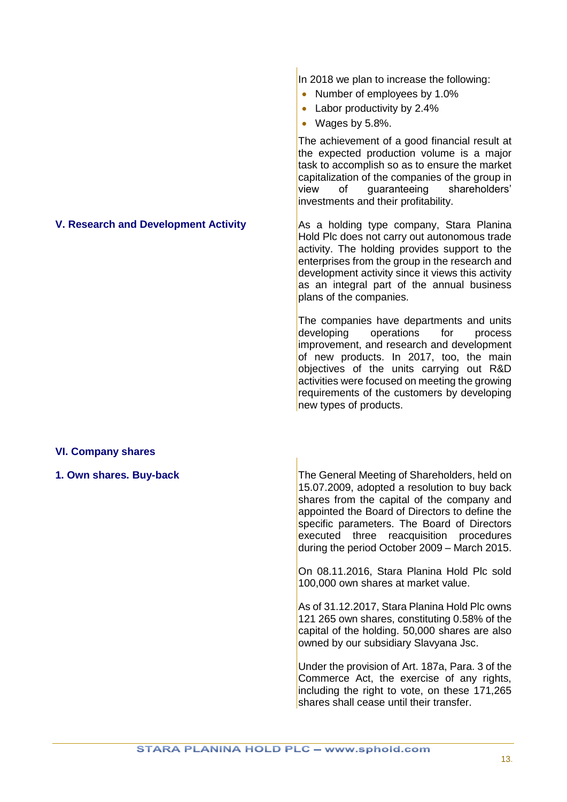In 2018 we plan to increase the following:

- Number of employees by 1.0%
- Labor productivity by 2.4%
- Wages by 5.8%.

The achievement of a good financial result at the expected production volume is a major task to accomplish so as to ensure the market capitalization of the companies of the group in<br>view of auaranteeing shareholders' of quaranteeing shareholders' investments and their profitability.

<span id="page-12-0"></span>**V. Research and Development Activity** As a holding type company, Stara Planina Hold Plc does not carry out autonomous trade activity. The holding provides support to the enterprises from the group in the research and development activity since it views this activity as an integral part of the annual business plans of the companies.

> The companies have departments and units developing operations for process improvement, and research and development of new products. In 2017, too, the main objectives of the units carrying out R&D activities were focused on meeting the growing requirements of the customers by developing new types of products.

# <span id="page-12-1"></span>**VI. Company shares**

<span id="page-12-2"></span>**1. Own shares. Buy-back** The General Meeting of Shareholders, held on 15.07.2009, adopted a resolution to buy back shares from the capital of the company and appointed the Board of Directors to define the specific parameters. The Board of Directors executed three reacquisition procedures during the period October 2009 – March 2015.

> On 08.11.2016, Stara Planina Hold Plc sold 100,000 own shares at market value.

> As of 31.12.2017, Stara Planina Hold Plc owns 121 265 own shares, constituting 0.58% of the capital of the holding. 50,000 shares are also owned by our subsidiary Slavyana Jsc.

> Under the provision of Art. 187a, Para. 3 of the Commerce Act, the exercise of any rights, including the right to vote, on these 171,265 shares shall cease until their transfer.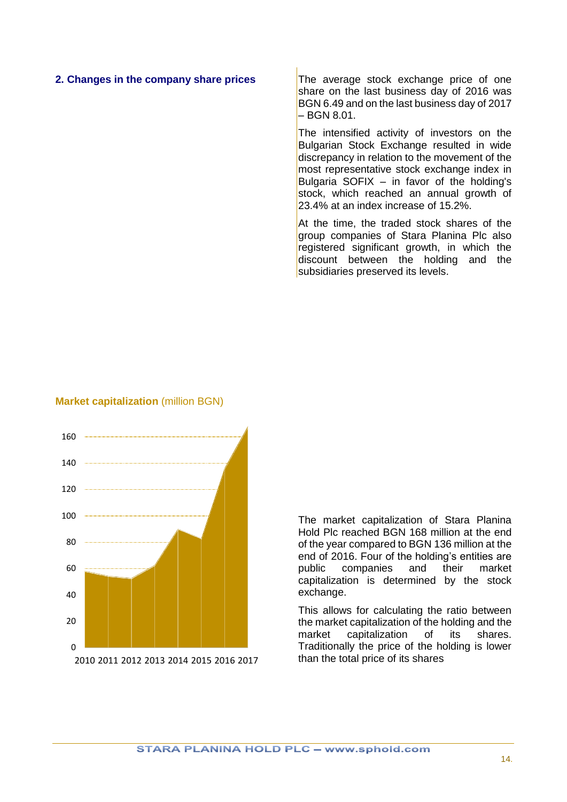#### <span id="page-13-0"></span>**2. Changes in the company share prices** The average stock exchange price of one

share on the last business day of 2016 was BGN 6.49 and on the last business day of 2017 – BGN 8.01.

The intensified activity of investors on the Bulgarian Stock Exchange resulted in wide discrepancy in relation to the movement of the most representative stock exchange index in Bulgaria SOFIX  $-$  in favor of the holding's stock, which reached an annual growth of 23.4% at an index increase of 15.2%

At the time, the traded stock shares of the group companies of Stara Planina Plc also registered significant growth, in which the discount between the holding and the subsidiaries preserved its levels.

#### **Market capitalization** (million BGN)



The market capitalization of Stara Planina Hold Plc reached BGN 168 million at the end of the year compared to BGN 136 million at the end of 2016. Four of the holding's entities are public companies and their market capitalization is determined by the stock exchange.

This allows for calculating the ratio between the market capitalization of the holding and the<br>market capitalization of its shares. capitalization of its shares. Traditionally the price of the holding is lower than the total price of its shares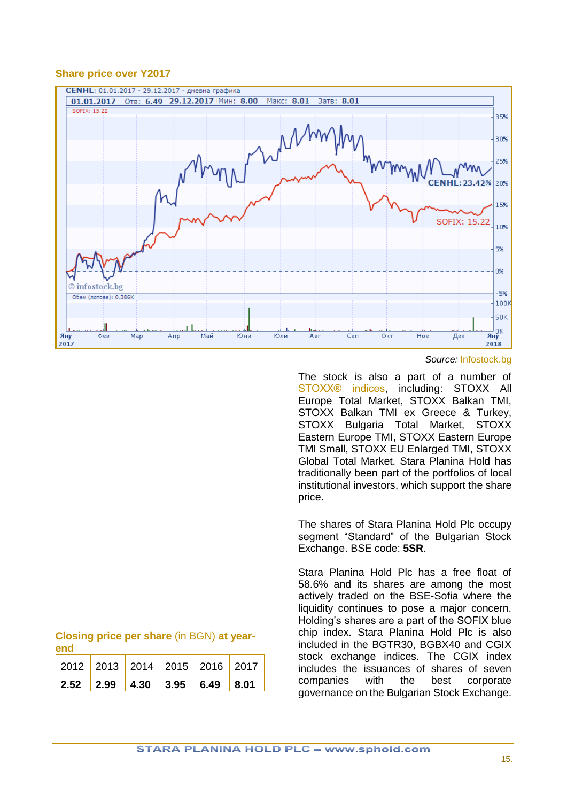#### **Share price over Y2017**



#### *Source:* [Infostock.bg](http://www.infostock.bg/infostock/control/quotes/CENHL)

The stock is also a part of a number of STOXX<sup>®</sup> indices, including: STOXX All Europe Total Market, STOXX Balkan TMI, STOXX Balkan TMI ex Greece & Turkey, STOXX Bulgaria Total Market, STOXX Eastern Europe TMI, STOXX Eastern Europe TMI Small, STOXX EU Enlarged TMI, STOXX Global Total Market. Stara Planina Hold has traditionally been part of the portfolios of local institutional investors, which support the share price.

The shares of Stara Planina Hold Plc occupy segment "Standard" of the Bulgarian Stock Exchange. BSE code: **5SR**.

Stara Planina Hold Plc has a free float of 58.6% and its shares are among the most actively traded on the BSE-Sofia where the liquidity continues to pose a major concern. Holding's shares are a part of the SOFIX blue chip index. Stara Planina Hold Plc is also included in the BGTR30, BGBX40 and CGIX stock exchange indices. The CGIX index includes the issuances of shares of seven companies with the best corporate governance on the Bulgarian Stock Exchange.

| Closing price per share (in BGN) at year- |  |  |  |  |
|-------------------------------------------|--|--|--|--|
| <b>end</b>                                |  |  |  |  |

| 2012   2013   2014   2015   2016   2017                                               |  |  |  |
|---------------------------------------------------------------------------------------|--|--|--|
| $\vert$ 2.52 $\vert$ 2.99 $\vert$ 4.30 $\vert$ 3.95 $\vert$ 6.49 $\vert$ 8.01 $\vert$ |  |  |  |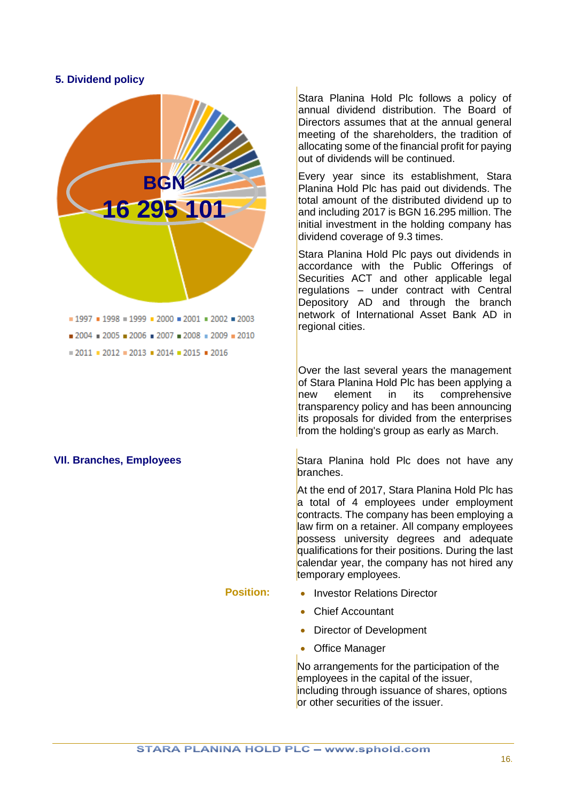#### <span id="page-15-0"></span>**5. Dividend policy**



Stara Planina Hold Plc follows a policy of annual dividend distribution. The Board of Directors assumes that at the annual general meeting of the shareholders, the tradition of allocating some of the financial profit for paying out of dividends will be continued.

Every year since its establishment, Stara Planina Hold Plc has paid out dividends. The total amount of the distributed dividend up to and including 2017 is BGN 16.295 million. The initial investment in the holding company has dividend coverage of 9.3 times.

Stara Planina Hold Plc pays out dividends in accordance with the Public Offerings of Securities ACT and other applicable legal regulations – under contract with Central Depository AD and through the branch network of International Asset Bank AD in regional cities.

Over the last several years the management of Stara Planina Hold Plc has been applying a new element in its comprehensive transparency policy and has been announcing its proposals for divided from the enterprises from the holding's group as early as March.

<span id="page-15-1"></span>**VII. Branches, Employees** Stara Planina hold Plc does not have any branches.

> At the end of 2017, Stara Planina Hold Plc has a total of 4 employees under employment contracts. The company has been employing a law firm on a retainer. All company employees possess university degrees and adequate qualifications for their positions. During the last calendar year, the company has not hired any temporary employees.

- **Position:** Investor Relations Director
	- Chief Accountant
	- Director of Development
	- Office Manager

No arrangements for the participation of the employees in the capital of the issuer, including through issuance of shares, options or other securities of the issuer.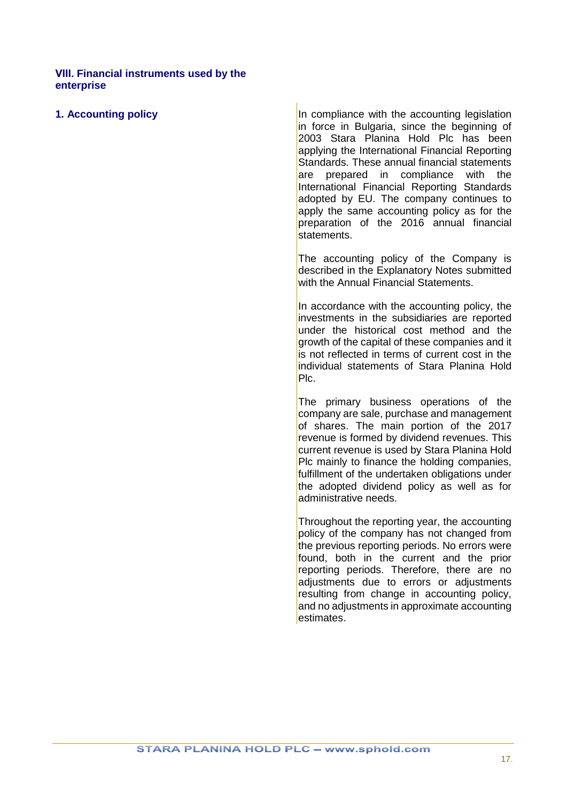#### <span id="page-16-0"></span>**VІIІ. Financial instruments used by the enterprise**

<span id="page-16-1"></span>**1. Accounting policy In compliance with the accounting legislation** in force in Bulgaria, since the beginning of 2003 Stara Planina Hold Plc has been applying the International Financial Reporting Standards. These annual financial statements are prepared in compliance with the International Financial Reporting Standards adopted by EU. The company continues to apply the same accounting policy as for the preparation of the 2016 annual financial statements.

> The accounting policy of the Company is described in the Explanatory Notes submitted with the Annual Financial Statements.

> In accordance with the accounting policy, the investments in the subsidiaries are reported under the historical cost method and the growth of the capital of these companies and it is not reflected in terms of current cost in the individual statements of Stara Planina Hold Plc.

> The primary business operations of the company are sale, purchase and management of shares. The main portion of the 2017 revenue is formed by dividend revenues. This current revenue is used by Stara Planina Hold Plc mainly to finance the holding companies, fulfillment of the undertaken obligations under the adopted dividend policy as well as for administrative needs.

> Throughout the reporting year, the accounting policy of the company has not changed from the previous reporting periods. No errors were found, both in the current and the prior reporting periods. Therefore, there are no adjustments due to errors or adjustments resulting from change in accounting policy, and no adjustments in approximate accounting estimates.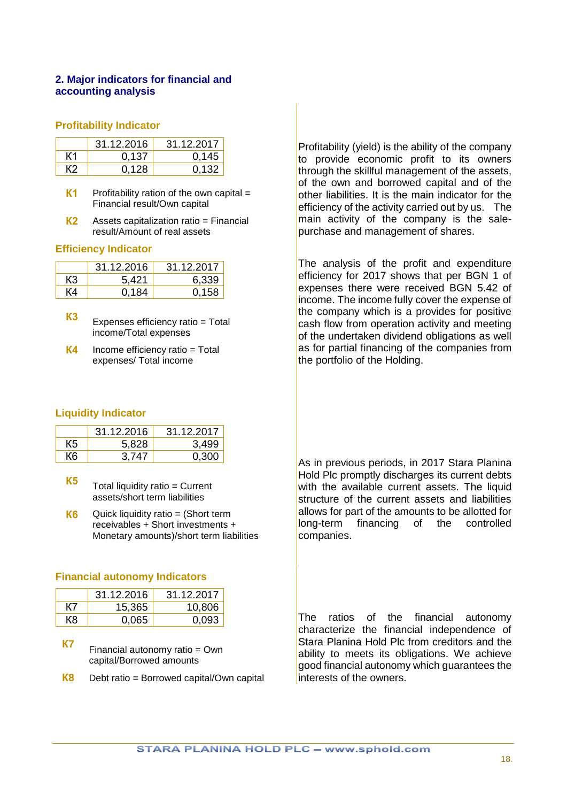#### <span id="page-17-0"></span>**2. Major indicators for financial and accounting analysis**

#### **Profitability Indicator**

|    | 31.12.2016 | 31.12.2017 |
|----|------------|------------|
| К1 | 0.137      | 0.145      |
| K2 | 0.128      | 0.132      |

- **K1** Profitability ration of the own capital = Financial result/Own capital
- **К2** Assets capitalization ratio = Financial result/Amount of real assets

#### **Efficiency Indicator**

|    | 31.12.2016 | 31.12.2017 |
|----|------------|------------|
| K3 | 5,421      | 6.339      |
| K4 | 0.184      | 0.158      |

- **K3** Expenses efficiency ratio = Total income/Total expenses
- **K4** Income efficiency ratio = Total expenses/ Total income

#### **Liquidity Indicator**

|    | 31.12.2016 | 31.12.2017 |
|----|------------|------------|
| К5 | 5.828      | 3,499      |
| К6 | 3.747      | 0.300      |

- **K5** Total liquidity ratio = Current assets/short term liabilities
- **K6** Quick liquidity ratio = (Short term receivables + Short investments + Monetary amounts)/short term liabilities

#### **Financial autonomy Indicators**

|     | 31.12.2016 | 31.12.2017 |
|-----|------------|------------|
| K7  | 15.365     | 10,806     |
| К8. | 0.065      | 0.093      |

- **К7** Financial autonomy ratio = Own capital/Borrowed amounts
- **К8** Debt ratio = Borrowed capital/Own capital

Profitability (yield) is the ability of the company to provide economic profit to its owners through the skillful management of the assets. of the own and borrowed capital and of the other liabilities. It is the main indicator for the efficiency of the activity carried out by us. The main activity of the company is the salepurchase and management of shares.

The analysis of the profit and expenditure efficiency for 2017 shows that per BGN 1 of expenses there were received BGN 5.42 of income. The income fully cover the expense of the company which is a provides for positive cash flow from operation activity and meeting of the undertaken dividend obligations as well as for partial financing of the companies from the portfolio of the Holding.

As in previous periods, in 2017 Stara Planina **Hold Plc promptly discharges its current debts** with the available current assets. The liquid structure of the current assets and liabilities allows for part of the amounts to be allotted for long-term financing of the controlled companies.

The ratios of the financial autonomy characterize the financial independence of Stara Planina Hold Plc from creditors and the ability to meets its obligations. We achieve good financial autonomy which guarantees the interests of the owners.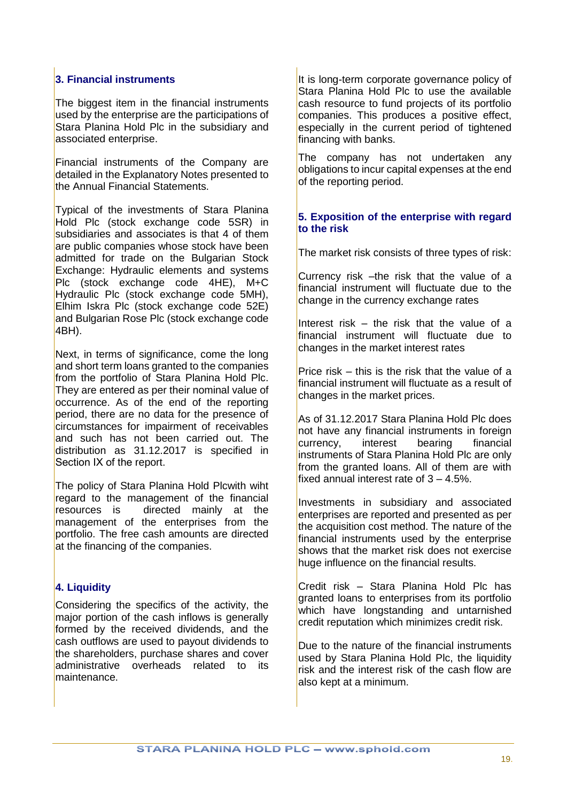# <span id="page-18-0"></span>**3. Financial instruments**

The biggest item in the financial instruments used by the enterprise are the participations of Stara Planina Hold Plc in the subsidiary and associated enterprise.

Financial instruments of the Company are detailed in the Explanatory Notes presented to the Annual Financial Statements.

Typical of the investments of Stara Planina Hold Plc (stock exchange code 5SR) in subsidiaries and associates is that 4 of them are public companies whose stock have been admitted for trade on the Bulgarian Stock Exchange: Hydraulic elements and systems Plc (stock exchange code 4HE), M+C Hydraulic Plc (stock exchange code 5MH), Elhim Iskra Plc (stock exchange code 52E) and Bulgarian Rose Plc (stock exchange code 4BH).

Next, in terms of significance, come the long and short term loans granted to the companies from the portfolio of Stara Planina Hold Plc. They are entered as per their nominal value of occurrence. As of the end of the reporting period, there are no data for the presence of circumstances for impairment of receivables and such has not been carried out. The distribution as 31.12.2017 is specified in Section IX of the report.

The policy of Stara Planina Hold Plcwith wiht regard to the management of the financial resources is directed mainly at the management of the enterprises from the portfolio. The free cash amounts are directed at the financing of the companies.

# <span id="page-18-1"></span>**4. Liquidity**

Considering the specifics of the activity, the major portion of the cash inflows is generally formed by the received dividends, and the cash outflows are used to payout dividends to the shareholders, purchase shares and cover administrative overheads related to its maintenance.

It is long-term corporate governance policy of Stara Planina Hold Plc to use the available cash resource to fund projects of its portfolio companies. This produces a positive effect, especially in the current period of tightened financing with banks.

The company has not undertaken any obligations to incur capital expenses at the end of the reporting period.

### <span id="page-18-2"></span>**5. Exposition of the enterprise with regard to the risk**

The market risk consists of three types of risk:

Currency risk –the risk that the value of a financial instrument will fluctuate due to the change in the currency exchange rates

Interest risk – the risk that the value of a financial instrument will fluctuate due to changes in the market interest rates

Price risk – this is the risk that the value of a financial instrument will fluctuate as a result of changes in the market prices.

As of 31.12.2017 Stara Planina Hold Plc does not have any financial instruments in foreign<br>currency, interest bearing financial currency, interest bearing financial instruments of Stara Planina Hold Plc are only from the granted loans. All of them are with fixed annual interest rate of  $3 - 4.5\%$ .

Investments in subsidiary and associated enterprises are reported and presented as per the acquisition cost method. The nature of the financial instruments used by the enterprise shows that the market risk does not exercise huge influence on the financial results.

Credit risk – Stara Planina Hold Plc has granted loans to enterprises from its portfolio which have longstanding and untarnished credit reputation which minimizes credit risk.

Due to the nature of the financial instruments used by Stara Planina Hold Plc, the liquidity risk and the interest risk of the cash flow are also kept at a minimum.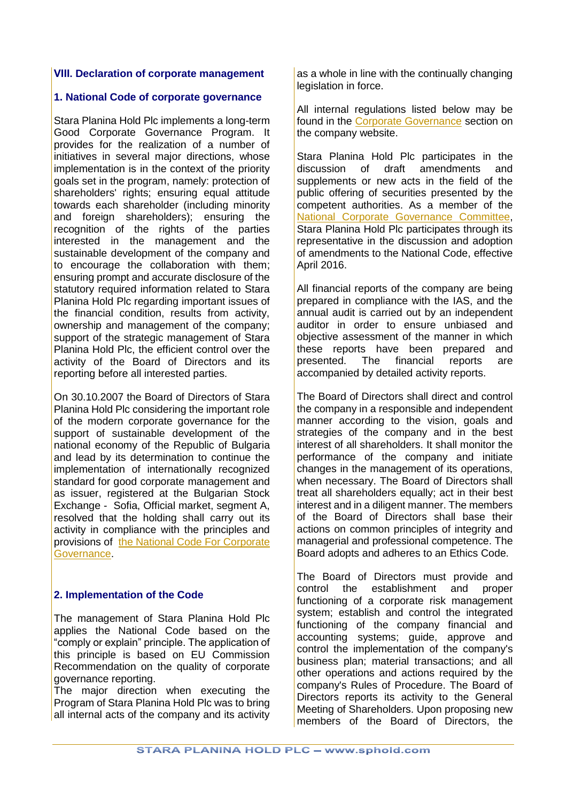#### <span id="page-19-1"></span><span id="page-19-0"></span>**VІІІ. Declaration of corporate management**

#### **1. National Code of corporate governance**

Stara Planina Hold Plc implements a long-term Good Corporate Governance Program. It provides for the realization of a number of initiatives in several major directions, whose implementation is in the context of the priority goals set in the program, namely: protection of shareholders' rights; ensuring equal attitude towards each shareholder (including minority and foreign shareholders); ensuring the recognition of the rights of the parties interested in the management and the sustainable development of the company and to encourage the collaboration with them; ensuring prompt and accurate disclosure of the statutory required information related to Stara Planina Hold Plc regarding important issues of the financial condition, results from activity, ownership and management of the company; support of the strategic management of Stara Planina Hold Plc, the efficient control over the activity of the Board of Directors and its reporting before all interested parties.

On 30.10.2007 the Board of Directors of Stara Planina Hold Plc considering the important role of the modern corporate governance for the support of sustainable development of the national economy of the Republic of Bulgaria and lead by its determination to continue the implementation of internationally recognized standard for good corporate management and as issuer, registered at the Bulgarian Stock Exchange - Sofia, Official market, segment A, resolved that the holding shall carry out its activity in compliance with the principles and provisions of [the National Code For Corporate](http://www.sphold.com/FILES/CGCode_EN-2012.pdf)  [Governance.](http://www.sphold.com/FILES/CGCode_EN-2012.pdf)

#### <span id="page-19-2"></span>**2. Implementation of the Code**

The management of Stara Planina Hold Plc applies the National Code based on the "comply or explain" principle. The application of this principle is based on EU Commission Recommendation on the quality of corporate governance reporting.

The major direction when executing the Program of Stara Planina Hold Plc was to bring all internal acts of the company and its activity

as a whole in line with the continually changing legislation in force.

All internal regulations listed below may be found in the [Corporate Governance](http://www.sphold.com/en/investor-relations/corporate-governance) section on the company website.

Stara Planina Hold Plc participates in the discussion of draft amendments and supplements or new acts in the field of the public offering of securities presented by the competent authorities. As a member of the [National Corporate Governance Committee,](http://nkku.bg/?language=2) Stara Planina Hold Plc participates through its representative in the discussion and adoption of amendments to the National Code, effective April 2016.

All financial reports of the company are being prepared in compliance with the IAS, and the annual audit is carried out by an independent auditor in order to ensure unbiased and objective assessment of the manner in which these reports have been prepared and presented. The financial reports are accompanied by detailed activity reports.

The Board of Directors shall direct and control the company in a responsible and independent manner according to the vision, goals and strategies of the company and in the best interest of all shareholders. It shall monitor the performance of the company and initiate changes in the management of its operations, when necessary. The Board of Directors shall treat all shareholders equally; act in their best interest and in a diligent manner. The members of the Board of Directors shall base their actions on common principles of integrity and managerial and professional competence. The Board adopts and adheres to an Ethics Code.

The Board of Directors must provide and control the establishment and proper functioning of a corporate risk management system; establish and control the integrated functioning of the company financial and accounting systems; guide, approve and control the implementation of the company's business plan; material transactions; and all other operations and actions required by the company's Rules of Procedure. The Board of Directors reports its activity to the General Meeting of Shareholders. Upon proposing new members of the Board of Directors, the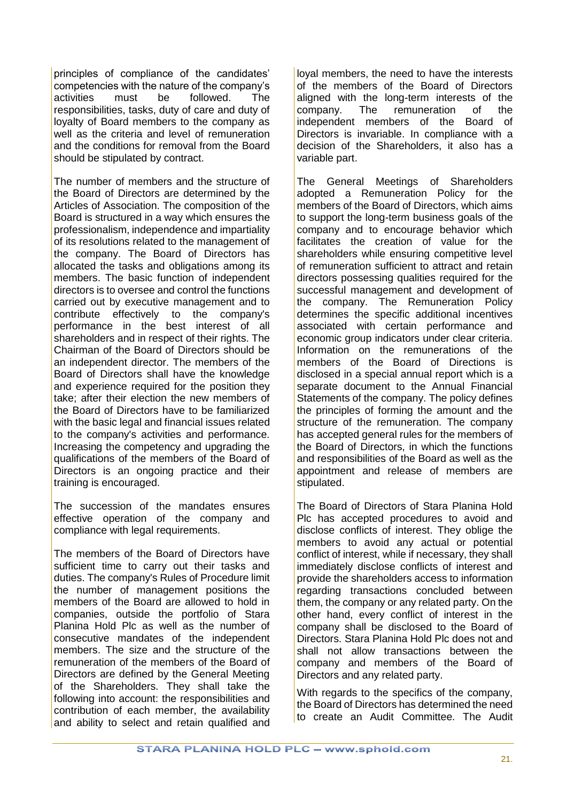principles of compliance of the candidates' competencies with the nature of the company's activities must be followed. The responsibilities, tasks, duty of care and duty of loyalty of Board members to the company as well as the criteria and level of remuneration and the conditions for removal from the Board should be stipulated by contract.

The number of members and the structure of the Board of Directors are determined by the Articles of Association. The composition of the Board is structured in a way which ensures the professionalism, independence and impartiality of its resolutions related to the management of the company. The Board of Directors has allocated the tasks and obligations among its members. The basic function of independent directors is to oversee and control the functions carried out by executive management and to contribute effectively to the company's performance in the best interest of all shareholders and in respect of their rights. The Chairman of the Board of Directors should be an independent director. The members of the Board of Directors shall have the knowledge and experience required for the position they take; after their election the new members of the Board of Directors have to be familiarized with the basic legal and financial issues related to the company's activities and performance. Increasing the competency and upgrading the qualifications of the members of the Board of Directors is an ongoing practice and their training is encouraged.

The succession of the mandates ensures effective operation of the company and compliance with legal requirements.

The members of the Board of Directors have sufficient time to carry out their tasks and duties. The company's Rules of Procedure limit the number of management positions the members of the Board are allowed to hold in companies, outside the portfolio of Stara Planina Hold Plc as well as the number of consecutive mandates of the independent members. The size and the structure of the remuneration of the members of the Board of Directors are defined by the General Meeting of the Shareholders. They shall take the following into account: the responsibilities and contribution of each member, the availability and ability to select and retain qualified and loyal members, the need to have the interests of the members of the Board of Directors aligned with the long-term interests of the company. The remuneration of the independent members of the Board of Directors is invariable. In compliance with a decision of the Shareholders, it also has a variable part.

The General Meetings of Shareholders adopted a Remuneration Policy for the members of the Board of Directors, which aims to support the long-term business goals of the company and to encourage behavior which facilitates the creation of value for the shareholders while ensuring competitive level of remuneration sufficient to attract and retain directors possessing qualities required for the successful management and development of the company. The Remuneration Policy determines the specific additional incentives associated with certain performance and economic group indicators under clear criteria. Information on the remunerations of the members of the Board of Directions is disclosed in a special annual report which is a separate document to the Annual Financial Statements of the company. The policy defines the principles of forming the amount and the structure of the remuneration. The company has accepted general rules for the members of the Board of Directors, in which the functions and responsibilities of the Board as well as the appointment and release of members are stipulated.

The Board of Directors of Stara Planina Hold Plc has accepted procedures to avoid and disclose conflicts of interest. They oblige the members to avoid any actual or potential conflict of interest, while if necessary, they shall immediately disclose conflicts of interest and provide the shareholders access to information regarding transactions concluded between them, the company or any related party. On the other hand, every conflict of interest in the company shall be disclosed to the Board of Directors. Stara Planina Hold Plc does not and shall not allow transactions between the company and members of the Board of Directors and any related party.

With regards to the specifics of the company, the Board of Directors has determined the need to create an Audit Committee. The Audit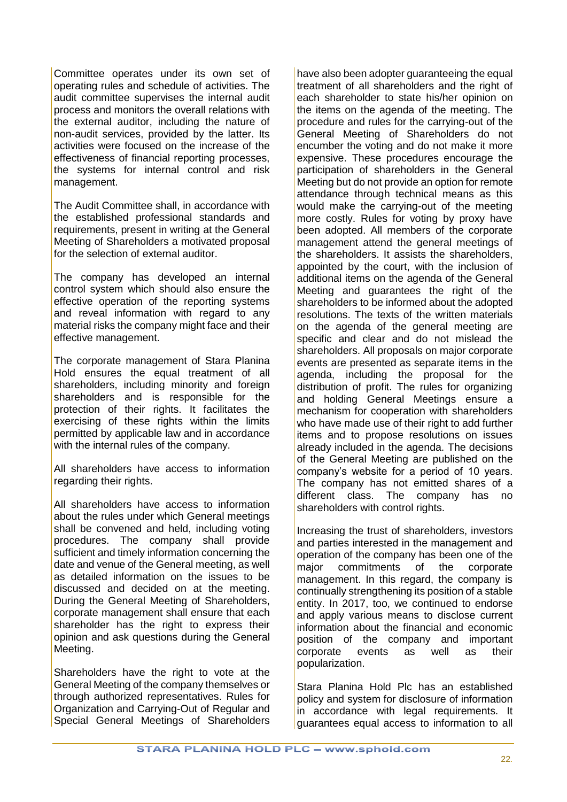Committee operates under its own set of operating rules and schedule of activities. The audit committee supervises the internal audit process and monitors the overall relations with the external auditor, including the nature of non-audit services, provided by the latter. Its activities were focused on the increase of the effectiveness of financial reporting processes, the systems for internal control and risk management.

The Audit Committee shall, in accordance with the established professional standards and requirements, present in writing at the General Meeting of Shareholders a motivated proposal for the selection of external auditor.

The company has developed an internal control system which should also ensure the effective operation of the reporting systems and reveal information with regard to any material risks the company might face and their effective management.

The corporate management of Stara Planina Hold ensures the equal treatment of all shareholders, including minority and foreign shareholders and is responsible for the protection of their rights. It facilitates the exercising of these rights within the limits permitted by applicable law and in accordance with the internal rules of the company.

All shareholders have access to information regarding their rights.

All shareholders have access to information about the rules under which General meetings shall be convened and held, including voting procedures. The company shall provide sufficient and timely information concerning the date and venue of the General meeting, as well as detailed information on the issues to be discussed and decided on at the meeting. During the General Meeting of Shareholders, corporate management shall ensure that each shareholder has the right to express their opinion and ask questions during the General Meeting.

Shareholders have the right to vote at the General Meeting of the company themselves or through authorized representatives. Rules for Organization and Carrying-Out of Regular and Special General Meetings of Shareholders have also been adopter guaranteeing the equal treatment of all shareholders and the right of each shareholder to state his/her opinion on the items on the agenda of the meeting. The procedure and rules for the carrying-out of the General Meeting of Shareholders do not encumber the voting and do not make it more expensive. These procedures encourage the participation of shareholders in the General Meeting but do not provide an option for remote attendance through technical means as this would make the carrying-out of the meeting more costly. Rules for voting by proxy have been adopted. All members of the corporate management attend the general meetings of the shareholders. It assists the shareholders, appointed by the court, with the inclusion of additional items on the agenda of the General Meeting and guarantees the right of the shareholders to be informed about the adopted resolutions. The texts of the written materials on the agenda of the general meeting are specific and clear and do not mislead the shareholders. All proposals on major corporate events are presented as separate items in the agenda, including the proposal for the distribution of profit. The rules for organizing and holding General Meetings ensure a mechanism for cooperation with shareholders who have made use of their right to add further items and to propose resolutions on issues already included in the agenda. The decisions of the General Meeting are published on the company's website for a period of 10 years. The company has not emitted shares of a different class. The company has no shareholders with control rights.

Increasing the trust of shareholders, investors and parties interested in the management and operation of the company has been one of the major commitments of the corporate management. In this regard, the company is continually strengthening its position of a stable entity. In 2017, too, we continued to endorse and apply various means to disclose current information about the financial and economic position of the company and important corporate events as well as their popularization.

Stara Planina Hold Plc has an established policy and system for disclosure of information in accordance with legal requirements. It guarantees equal access to information to all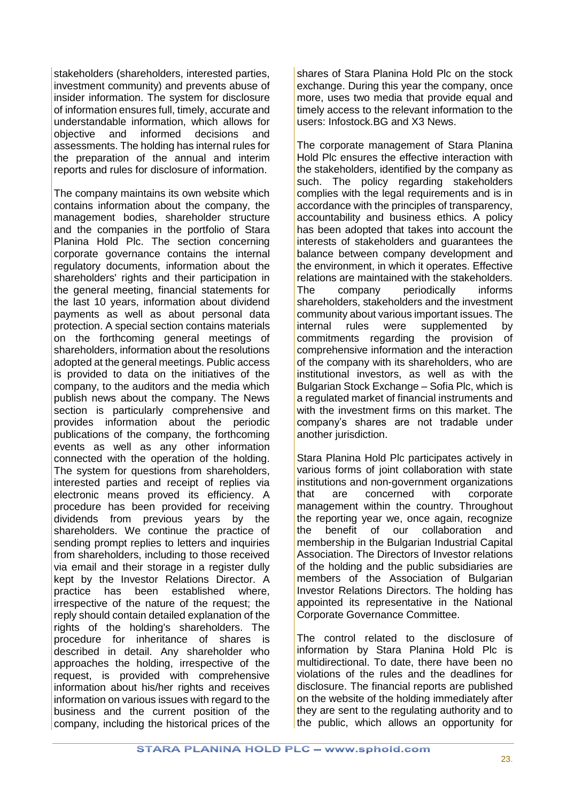stakeholders (shareholders, interested parties, investment community) and prevents abuse of insider information. The system for disclosure of information ensures full, timely, accurate and understandable information, which allows for objective and informed decisions and assessments. The holding has internal rules for the preparation of the annual and interim reports and rules for disclosure of information.

The company maintains its own website which contains information about the company, the management bodies, shareholder structure and the companies in the portfolio of Stara Planina Hold Plc. The section concerning corporate governance contains the internal regulatory documents, information about the shareholders' rights and their participation in the general meeting, financial statements for the last 10 years, information about dividend payments as well as about personal data protection. A special section contains materials on the forthcoming general meetings of shareholders, information about the resolutions adopted at the general meetings. Public access is provided to data on the initiatives of the company, to the auditors and the media which publish news about the company. The News section is particularly comprehensive and provides information about the periodic publications of the company, the forthcoming events as well as any other information connected with the operation of the holding. The system for questions from shareholders, interested parties and receipt of replies via electronic means proved its efficiency. A procedure has been provided for receiving dividends from previous years by the shareholders. We continue the practice of sending prompt replies to letters and inquiries from shareholders, including to those received via email and their storage in a register dully kept by the Investor Relations Director. A practice has been established where, irrespective of the nature of the request; the reply should contain detailed explanation of the rights of the holding's shareholders. The procedure for inheritance of shares is described in detail. Any shareholder who approaches the holding, irrespective of the request, is provided with comprehensive information about his/her rights and receives information on various issues with regard to the business and the current position of the company, including the historical prices of the shares of Stara Planina Hold Plc on the stock exchange. During this year the company, once more, uses two media that provide equal and timely access to the relevant information to the users: Infostock.BG and X3 News.

The corporate management of Stara Planina Hold Plc ensures the effective interaction with the stakeholders, identified by the company as such. The policy regarding stakeholders complies with the legal requirements and is in accordance with the principles of transparency, accountability and business ethics. A policy has been adopted that takes into account the interests of stakeholders and guarantees the balance between company development and the environment, in which it operates. Effective relations are maintained with the stakeholders. The company periodically informs shareholders, stakeholders and the investment community about various important issues. The internal rules were supplemented by commitments regarding the provision of comprehensive information and the interaction of the company with its shareholders, who are institutional investors, as well as with the Bulgarian Stock Exchange – Sofia Plc, which is a regulated market of financial instruments and with the investment firms on this market. The company's shares are not tradable under another jurisdiction.

Stara Planina Hold Plc participates actively in various forms of joint collaboration with state institutions and non-government organizations that are concerned with corporate management within the country. Throughout the reporting year we, once again, recognize the benefit of our collaboration and membership in the Bulgarian Industrial Capital Association. The Directors of Investor relations of the holding and the public subsidiaries are members of the Association of Bulgarian Investor Relations Directors. The holding has appointed its representative in the National Corporate Governance Committee.

The control related to the disclosure of information by Stara Planina Hold Plc is multidirectional. To date, there have been no violations of the rules and the deadlines for disclosure. The financial reports are published on the website of the holding immediately after they are sent to the regulating authority and to the public, which allows an opportunity for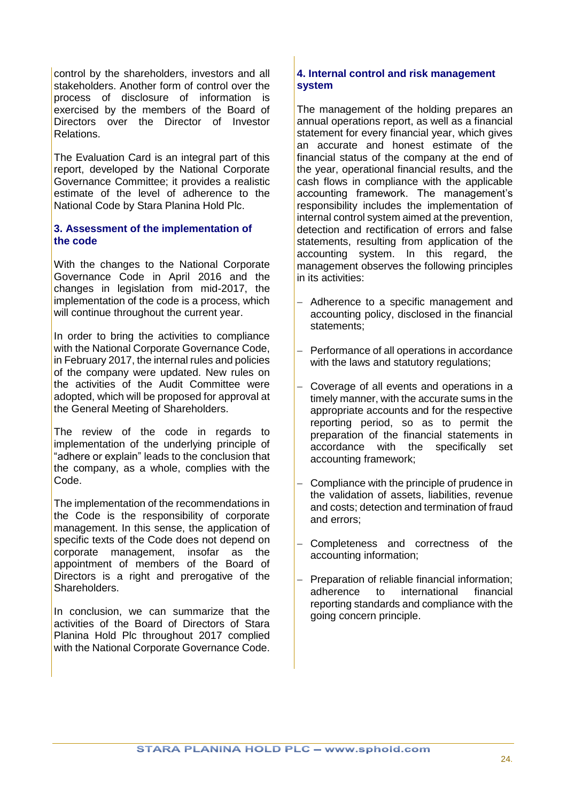control by the shareholders, investors and all stakeholders. Another form of control over the process of disclosure of information is exercised by the members of the Board of Directors over the Director of Investor Relations.

The Evaluation Card is an integral part of this report, developed by the National Corporate Governance Committee; it provides a realistic estimate of the level of adherence to the National Code by Stara Planina Hold Plc.

### <span id="page-23-0"></span>**3. Assessment of the implementation of the code**

With the changes to the National Corporate Governance Code in April 2016 and the changes in legislation from mid-2017, the implementation of the code is a process, which will continue throughout the current year.

In order to bring the activities to compliance with the National Corporate Governance Code, in February 2017, the internal rules and policies of the company were updated. New rules on the activities of the Audit Committee were adopted, which will be proposed for approval at the General Meeting of Shareholders.

The review of the code in regards to implementation of the underlying principle of "adhere or explain" leads to the conclusion that the company, as a whole, complies with the Code.

The implementation of the recommendations in the Code is the responsibility of corporate management. In this sense, the application of specific texts of the Code does not depend on corporate management, insofar as the appointment of members of the Board of Directors is a right and prerogative of the Shareholders.

In conclusion, we can summarize that the activities of the Board of Directors of Stara Planina Hold Plc throughout 2017 complied with the National Corporate Governance Code.

# <span id="page-23-1"></span>**4. Internal control and risk management system**

The management of the holding prepares an annual operations report, as well as a financial statement for every financial year, which gives an accurate and honest estimate of the financial status of the company at the end of the year, operational financial results, and the cash flows in compliance with the applicable accounting framework. The management's responsibility includes the implementation of internal control system aimed at the prevention, detection and rectification of errors and false statements, resulting from application of the accounting system. In this regard, the management observes the following principles in its activities:

- Adherence to a specific management and accounting policy, disclosed in the financial statements;
- Performance of all operations in accordance with the laws and statutory regulations;
- Coverage of all events and operations in a timely manner, with the accurate sums in the appropriate accounts and for the respective reporting period, so as to permit the preparation of the financial statements in accordance with the specifically set accounting framework;
- Compliance with the principle of prudence in the validation of assets, liabilities, revenue and costs; detection and termination of fraud and errors;
- Completeness and correctness of the accounting information;
- Preparation of reliable financial information: adherence to international financial reporting standards and compliance with the going concern principle.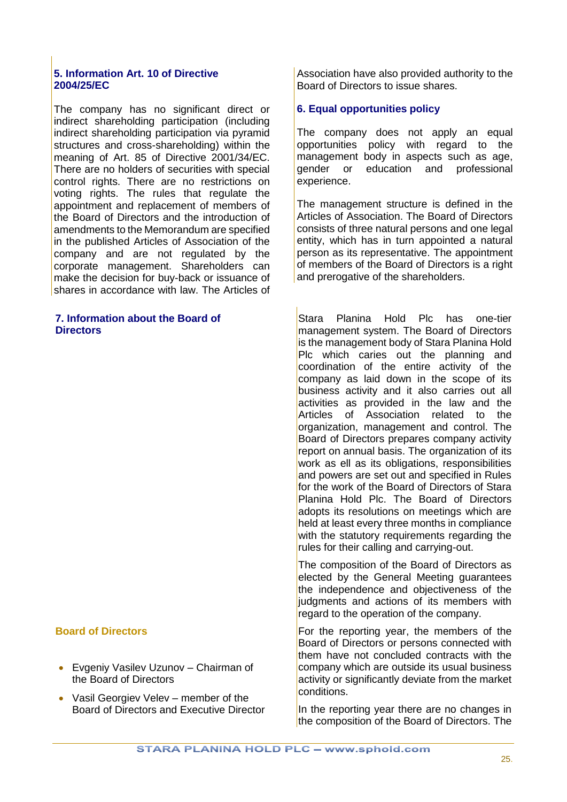#### <span id="page-24-0"></span>**5. Information Art. 10 of Directive 2004/25/EC**

The company has no significant direct or indirect shareholding participation (including indirect shareholding participation via pyramid structures and cross-shareholding) within the meaning of Art. 85 of Directive 2001/34/EC. There are no holders of securities with special control rights. There are no restrictions on voting rights. The rules that regulate the appointment and replacement of members of the Board of Directors and the introduction of amendments to the Memorandum are specified in the published Articles of Association of the company and are not regulated by the corporate management. Shareholders can make the decision for buy-back or issuance of shares in accordance with law. The Articles of

#### <span id="page-24-2"></span>**7. Information about the Board of Directors**

### **Board of Directors**

- Evgeniy Vasilev Uzunov Chairman of the Board of Directors
- Vasil Georgiev Veley member of the Board of Directors and Executive Director

Association have also provided authority to the Board of Directors to issue shares.

# <span id="page-24-1"></span>**6. Equal opportunities policy**

The company does not apply an equal opportunities policy with regard to the management body in aspects such as age, gender or education and professional experience.

The management structure is defined in the Articles of Association. The Board of Directors consists of three natural persons and one legal entity, which has in turn appointed a natural person as its representative. The appointment of members of the Board of Directors is a right and prerogative of the shareholders.

Stara Planina Hold Plc has one-tier management system. The Board of Directors is the management body of Stara Planina Hold Plc which caries out the planning and coordination of the entire activity of the company as laid down in the scope of its business activity and it also carries out all activities as provided in the law and the Articles of Association related to the organization, management and control. The Board of Directors prepares company activity report on annual basis. The organization of its work as ell as its obligations, responsibilities and powers are set out and specified in Rules for the work of the Board of Directors of Stara Planina Hold Plc. The Board of Directors adopts its resolutions on meetings which are held at least every three months in compliance with the statutory requirements regarding the rules for their calling and carrying-out.

The composition of the Board of Directors as elected by the General Meeting guarantees the independence and objectiveness of the iudgments and actions of its members with regard to the operation of the company.

For the reporting year, the members of the Board of Directors or persons connected with them have not concluded contracts with the company which are outside its usual business activity or significantly deviate from the market conditions.

In the reporting year there are no changes in the composition of the Board of Directors. The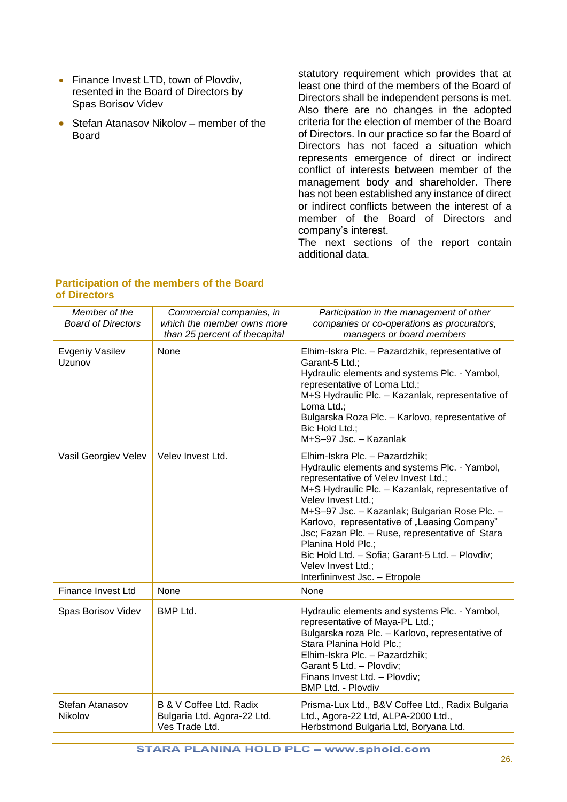- Finance Invest LTD, town of Plovdiv, resented in the Board of Directors by Spas Borisov Videv
- Stefan Atanasov Nikolov member of the Board

statutory requirement which provides that at least one third of the members of the Board of Directors shall be independent persons is met. Also there are no changes in the adopted criteria for the election of member of the Board of Directors. In our practice so far the Board of Directors has not faced a situation which represents emergence of direct or indirect conflict of interests between member of the management body and shareholder. There has not been established any instance of direct or indirect conflicts between the interest of a member of the Board of Directors and company's interest.

The next sections of the report contain additional data.

#### **Participation of the members of the Board of Directors**

| Member of the<br><b>Board of Directors</b> | Commercial companies, in<br>which the member owns more<br>than 25 percent of thecapital | Participation in the management of other<br>companies or co-operations as procurators,<br>managers or board members                                                                                                                                                                                                                                                                                                                                                                    |
|--------------------------------------------|-----------------------------------------------------------------------------------------|----------------------------------------------------------------------------------------------------------------------------------------------------------------------------------------------------------------------------------------------------------------------------------------------------------------------------------------------------------------------------------------------------------------------------------------------------------------------------------------|
| Evgeniy Vasilev<br>Uzunov                  | None                                                                                    | Elhim-Iskra Plc. - Pazardzhik, representative of<br>Garant-5 Ltd.;<br>Hydraulic elements and systems Plc. - Yambol,<br>representative of Loma Ltd.;<br>M+S Hydraulic Plc. - Kazanlak, representative of<br>Loma Ltd.;<br>Bulgarska Roza Plc. - Karlovo, representative of<br>Bic Hold Ltd.;<br>M+S-97 Jsc. - Kazanlak                                                                                                                                                                  |
| Vasil Georgiev Velev                       | Velev Invest Ltd.                                                                       | Elhim-Iskra Plc. - Pazardzhik;<br>Hydraulic elements and systems Plc. - Yambol,<br>representative of Velev Invest Ltd.;<br>M+S Hydraulic Plc. - Kazanlak, representative of<br>Velev Invest Ltd.;<br>M+S-97 Jsc. - Kazanlak; Bulgarian Rose Plc. -<br>Karlovo, representative of "Leasing Company"<br>Jsc; Fazan Plc. - Ruse, representative of Stara<br>Planina Hold Plc.;<br>Bic Hold Ltd. - Sofia; Garant-5 Ltd. - Plovdiv;<br>Velev Invest Ltd.;<br>Interfininvest Jsc. - Etropole |
| Finance Invest Ltd                         | None                                                                                    | None                                                                                                                                                                                                                                                                                                                                                                                                                                                                                   |
| Spas Borisov Videv                         | <b>BMP Ltd.</b>                                                                         | Hydraulic elements and systems Plc. - Yambol,<br>representative of Maya-PL Ltd.;<br>Bulgarska roza Plc. - Karlovo, representative of<br>Stara Planina Hold Plc.;<br>Elhim-Iskra Plc. - Pazardzhik;<br>Garant 5 Ltd. - Plovdiv;<br>Finans Invest Ltd. - Plovdiv;<br><b>BMP Ltd. - Plovdiv</b>                                                                                                                                                                                           |
| Stefan Atanasov<br>Nikolov                 | B & V Coffee Ltd. Radix<br>Bulgaria Ltd. Agora-22 Ltd.<br>Ves Trade Ltd.                | Prisma-Lux Ltd., B&V Coffee Ltd., Radix Bulgaria<br>Ltd., Agora-22 Ltd, ALPA-2000 Ltd.,<br>Herbstmond Bulgaria Ltd, Boryana Ltd.                                                                                                                                                                                                                                                                                                                                                       |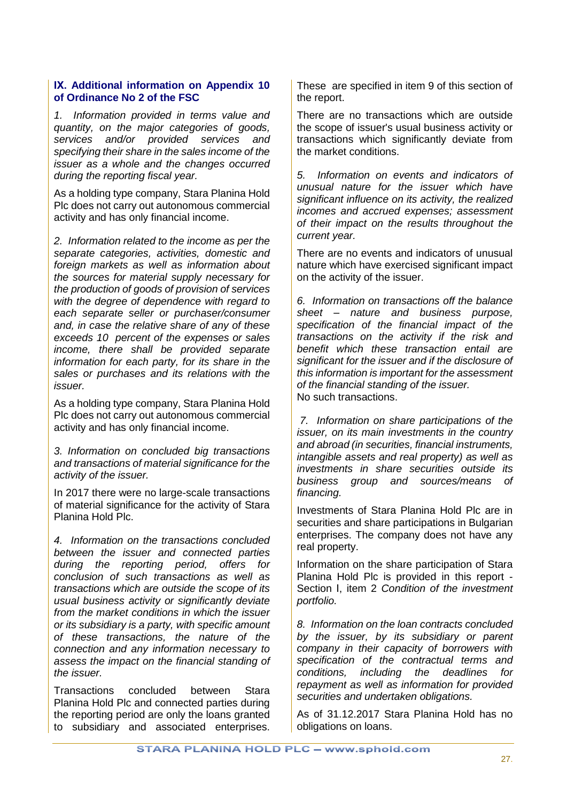#### <span id="page-26-0"></span>**ІХ. Additional information on Appendix 10 of Ordinance No 2 of the FSC**

*1. Information provided in terms value and quantity, on the major categories of goods, services and/or provided services and specifying their share in the sales income of the issuer as a whole and the changes occurred during the reporting fiscal year.*

As a holding type company, Stara Planina Hold Plc does not carry out autonomous commercial activity and has only financial income.

*2. Information related to the income as per the separate categories, activities, domestic and foreign markets as well as information about the sources for material supply necessary for the production of goods of provision of services with the degree of dependence with regard to each separate seller or purchaser/consumer and, in case the relative share of any of these exceeds 10 percent of the expenses or sales income, there shall be provided separate information for each party, for its share in the sales or purchases and its relations with the issuer.*

As a holding type company, Stara Planina Hold Plc does not carry out autonomous commercial activity and has only financial income.

*3. Information on concluded big transactions and transactions of material significance for the activity of the issuer.*

In 2017 there were no large-scale transactions of material significance for the activity of Stara Planina Hold Plc.

*4. Information on the transactions concluded between the issuer and connected parties during the reporting period, offers for conclusion of such transactions as well as transactions which are outside the scope of its usual business activity or significantly deviate from the market conditions in which the issuer or its subsidiary is a party, with specific amount of these transactions, the nature of the connection and any information necessary to assess the impact on the financial standing of the issuer.*

Transactions concluded between Stara Planina Hold Plc and connected parties during the reporting period are only the loans granted to subsidiary and associated enterprises. These are specified in item 9 of this section of the report.

There are no transactions which are outside the scope of issuer's usual business activity or transactions which significantly deviate from the market conditions.

*5. Information on events and indicators of unusual nature for the issuer which have significant influence on its activity, the realized incomes and accrued expenses; assessment of their impact on the results throughout the current year.*

There are no events and indicators of unusual nature which have exercised significant impact on the activity of the issuer.

*6. Information on transactions off the balance sheet – nature and business purpose, specification of the financial impact of the transactions on the activity if the risk and benefit which these transaction entail are significant for the issuer and if the disclosure of this information is important for the assessment of the financial standing of the issuer.* No such transactions.

*7. Information on share participations of the issuer, on its main investments in the country and abroad (in securities, financial instruments, intangible assets and real property) as well as investments in share securities outside its business group and sources/means of financing.*

Investments of Stara Planina Hold Plc are in securities and share participations in Bulgarian enterprises. The company does not have any real property.

Information on the share participation of Stara Planina Hold Plc is provided in this report - Section І, item 2 *Condition of the investment portfolio.*

*8. Information on the loan contracts concluded by the issuer, by its subsidiary or parent company in their capacity of borrowers with specification of the contractual terms and conditions, including the deadlines for repayment as well as information for provided securities and undertaken obligations.*

As of 31.12.2017 Stara Planina Hold has no obligations on loans.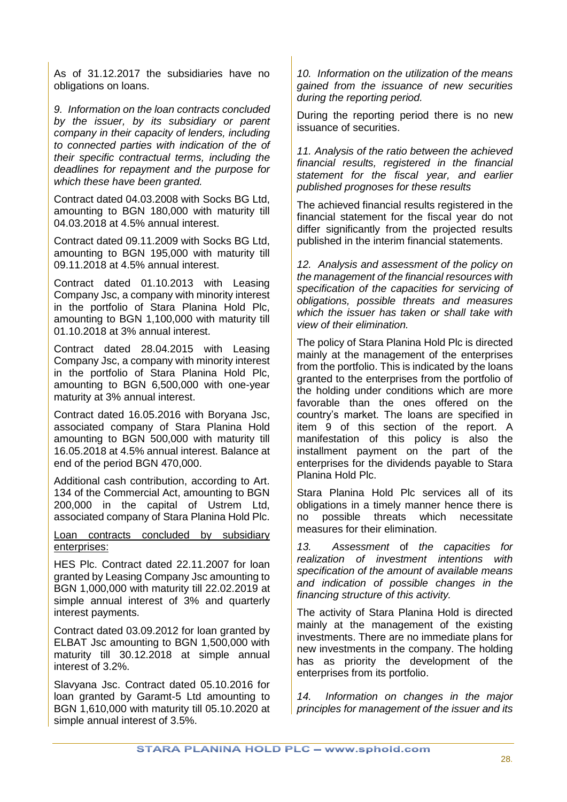As of 31.12.2017 the subsidiaries have no obligations on loans.

*9. Information on the loan contracts concluded by the issuer, by its subsidiary or parent company in their capacity of lenders, including to connected parties with indication of the of their specific contractual terms, including the deadlines for repayment and the purpose for which these have been granted.*

Contract dated 04.03.2008 with Socks BG Ltd, amounting to BGN 180,000 with maturity till 04.03.2018 at 4.5% annual interest.

Contract dated 09.11.2009 with Socks BG Ltd, amounting to BGN 195,000 with maturity till 09.11.2018 at 4.5% annual interest.

Contract dated 01.10.2013 with Leasing Company Jsc, a company with minority interest in the portfolio of Stara Planina Hold Plc, amounting to BGN 1,100,000 with maturity till 01.10.2018 at 3% annual interest.

Contract dated 28.04.2015 with Leasing Company Jsc, a company with minority interest in the portfolio of Stara Planina Hold Plc, amounting to BGN 6,500,000 with one-year maturity at 3% annual interest.

Contract dated 16.05.2016 with Boryana Jsc, associated company of Stara Planina Hold amounting to BGN 500,000 with maturity till 16.05.2018 at 4.5% annual interest. Balance at end of the period BGN 470,000.

Additional cash contribution, according to Art. 134 of the Commercial Act, amounting to BGN 200,000 in the capital of Ustrem Ltd, associated company of Stara Planina Hold Plc.

### Loan contracts concluded by subsidiary enterprises:

HES Plc. Contract dated 22.11.2007 for loan granted by Leasing Company Jsc amounting to BGN 1,000,000 with maturity till 22.02.2019 at simple annual interest of 3% and quarterly interest payments.

Contract dated 03.09.2012 for loan granted by ELBAT Jsc amounting to BGN 1,500,000 with maturity till 30.12.2018 at simple annual interest of 3.2%.

Slavyana Jsc. Contract dated 05.10.2016 for loan granted by Garamt-5 Ltd amounting to BGN 1,610,000 with maturity till 05.10.2020 at simple annual interest of 3.5%.

*10. Information on the utilization of the means gained from the issuance of new securities during the reporting period.*

During the reporting period there is no new issuance of securities.

*11. Analysis of the ratio between the achieved financial results, registered in the financial statement for the fiscal year, and earlier published prognoses for these results*

The achieved financial results registered in the financial statement for the fiscal year do not differ significantly from the projected results published in the interim financial statements.

*12. Analysis and assessment of the policy on the management of the financial resources with specification of the capacities for servicing of obligations, possible threats and measures which the issuer has taken or shall take with view of their elimination.*

The policy of Stara Planina Hold Plc is directed mainly at the management of the enterprises from the portfolio. This is indicated by the loans granted to the enterprises from the portfolio of the holding under conditions which are more favorable than the ones offered on the country's market. The loans are specified in item 9 of this section of the report. A manifestation of this policy is also the installment payment on the part of the enterprises for the dividends payable to Stara Planina Hold Plc.

Stara Planina Hold Plc services all of its obligations in a timely manner hence there is no possible threats which necessitate measures for their elimination.

*13. Assessment* of *the capacities for realization of investment intentions with specification of the amount of available means and indication of possible changes in the financing structure of this activity.*

The activity of Stara Planina Hold is directed mainly at the management of the existing investments. There are no immediate plans for new investments in the company. The holding has as priority the development of the enterprises from its portfolio.

*14. Information on changes in the major principles for management of the issuer and its*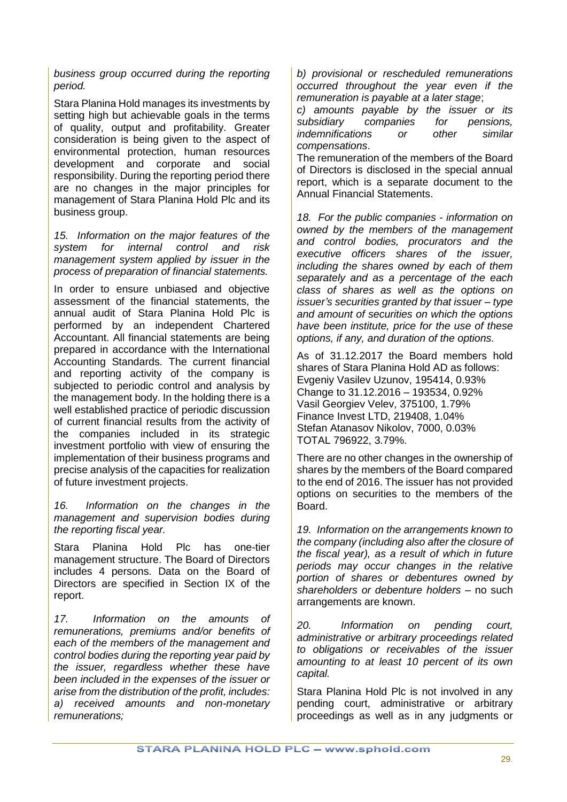*business group occurred during the reporting period.*

Stara Planina Hold manages its investments by setting high but achievable goals in the terms of quality, output and profitability. Greater consideration is being given to the aspect of environmental protection, human resources development and corporate and social responsibility. During the reporting period there are no changes in the major principles for management of Stara Planina Hold Plc and its business group.

*15. Information on the major features of the system for internal control and risk management system applied by issuer in the process of preparation of financial statements.*

In order to ensure unbiased and objective assessment of the financial statements, the annual audit of Stara Planina Hold Plc is performed by an independent Chartered Accountant. All financial statements are being prepared in accordance with the International Accounting Standards. The current financial and reporting activity of the company is subjected to periodic control and analysis by the management body. In the holding there is a well established practice of periodic discussion of current financial results from the activity of the companies included in its strategic investment portfolio with view of ensuring the implementation of their business programs and precise analysis of the capacities for realization of future investment projects.

*16. Information on the changes in the management and supervision bodies during the reporting fiscal year.*

Stara Planina Hold Plc has one-tier management structure. The Board of Directors includes 4 persons. Data on the Board of Directors are specified in Section IX of the report.

*17. Information on the amounts of remunerations, premiums and/or benefits of each of the members of the management and control bodies during the reporting year paid by the issuer, regardless whether these have been included in the expenses of the issuer or arise from the distribution of the profit, includes: а) received amounts and non-monetary remunerations;*

*b) provisional or rescheduled remunerations occurred throughout the year even if the remuneration is payable at a later stage*;

*c) amounts payable by the issuer or its subsidiary companies for pensions, indemnifications or other similar compensations*.

The remuneration of the members of the Board of Directors is disclosed in the special annual report, which is a separate document to the Annual Financial Statements.

*18. For the public companies - information on owned by the members of the management and control bodies, procurators and the executive officers shares of the issuer, including the shares owned by each of them separately and as a percentage of the each class of shares as well as the options on issuer's securities granted by that issuer – type and amount of securities on which the options have been institute, price for the use of these options, if any, and duration of the options.*

As of 31.12.2017 the Board members hold shares of Stara Planina Hold AD as follows: Evgeniy Vasilev Uzunov, 195414, 0.93% Change to 31.12.2016 – 193534, 0.92% Vasil Georgiev Velev, 375100, 1.79% Finance Invest LTD, 219408, 1.04% Stefan Atanasov Nikolov, 7000, 0.03% TOTAL 796922, 3.79%.

There are no other changes in the ownership of shares by the members of the Board compared to the end of 2016. The issuer has not provided options on securities to the members of the Board.

*19. Information on the arrangements known to the company (including also after the closure of the fiscal year), as a result of which in future periods may occur changes in the relative portion of shares or debentures owned by shareholders or debenture holders –* no such arrangements are known.

*20. Information on pending court, administrative or arbitrary proceedings related to obligations or receivables of the issuer amounting to at least 10 percent of its own capital.*

Stara Planina Hold Plc is not involved in any pending court, administrative or arbitrary proceedings as well as in any judgments or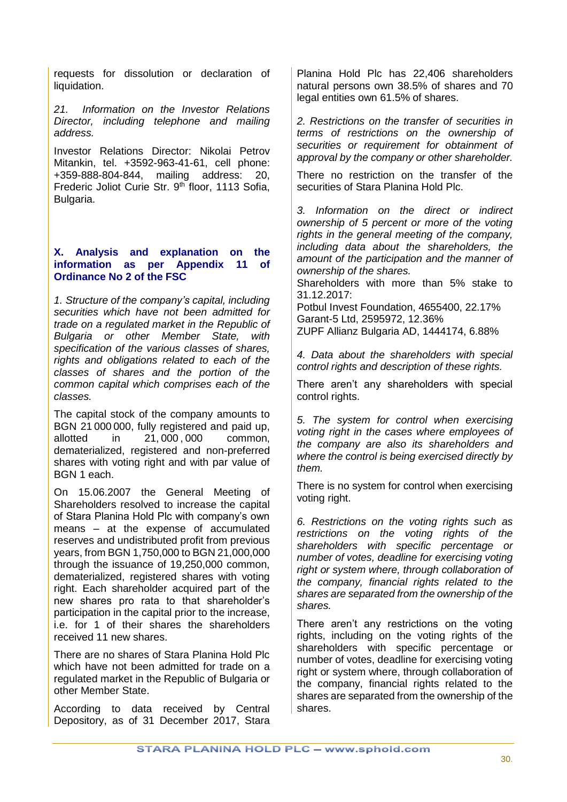requests for dissolution or declaration of liquidation.

*21. Information on the Investor Relations Director, including telephone and mailing address.*

Investor Relations Director: Nikolai Petrov Mitankin, tel. +3592-963-41-61, cell phone: +359-888-804-844, mailing address: 20, Frederic Joliot Curie Str. 9<sup>th</sup> floor, 1113 Sofia, Bulgaria.

#### <span id="page-29-0"></span>**X. Analysis and explanation on the information as per Appendix 11 of Ordinance No 2 of the FSC**

*1. Structure of the company's capital, including securities which have not been admitted for trade on a regulated market in the Republic of Bulgaria or other Member State, with specification of the various classes of shares, rights and obligations related to each of the classes of shares and the portion of the common capital which comprises each of the classes.*

The capital stock of the company amounts to BGN 21 000 000, fully registered and paid up, allotted in 21, 000 , 000 common, dematerialized, registered and non-preferred shares with voting right and with par value of BGN 1 each.

On 15.06.2007 the General Meeting of Shareholders resolved to increase the capital of Stara Planina Hold Plc with company's own means – at the expense of accumulated reserves and undistributed profit from previous years, from BGN 1,750,000 to BGN 21,000,000 through the issuance of 19,250,000 common, dematerialized, registered shares with voting right. Each shareholder acquired part of the new shares pro rata to that shareholder's participation in the capital prior to the increase, i.e. for 1 of their shares the shareholders received 11 new shares.

There are no shares of Stara Planina Hold Plc which have not been admitted for trade on a regulated market in the Republic of Bulgaria or other Member State.

According to data received by Central Depository, as of 31 December 2017, Stara

Planina Hold Plc has 22,406 shareholders natural persons own 38.5% of shares and 70 legal entities own 61.5% of shares.

*2. Restrictions on the transfer of securities in terms of restrictions on the ownership of securities or requirement for obtainment of approval by the company or other shareholder.*

There no restriction on the transfer of the securities of Stara Planina Hold Plc.

*3. Information on the direct or indirect ownership of 5 percent or more of the voting rights in the general meeting of the company, including data about the shareholders, the amount of the participation and the manner of ownership of the shares.*

Shareholders with more than 5% stake to 31.12.2017:

Potbul Invest Foundation, 4655400, 22.17% Garant-5 Ltd, 2595972, 12.36% ZUPF Allianz Bulgaria AD, 1444174, 6.88%

*4. Data about the shareholders with special control rights and description of these rights.*

There aren't any shareholders with special control rights.

*5. The system for control when exercising voting right in the cases where employees of the company are also its shareholders and where the control is being exercised directly by them.*

There is no system for control when exercising voting right.

*6. Restrictions on the voting rights such as restrictions on the voting rights of the shareholders with specific percentage or number of votes, deadline for exercising voting right or system where, through collaboration of the company, financial rights related to the shares are separated from the ownership of the shares.*

There aren't any restrictions on the voting rights, including on the voting rights of the shareholders with specific percentage or number of votes, deadline for exercising voting right or system where, through collaboration of the company, financial rights related to the shares are separated from the ownership of the shares.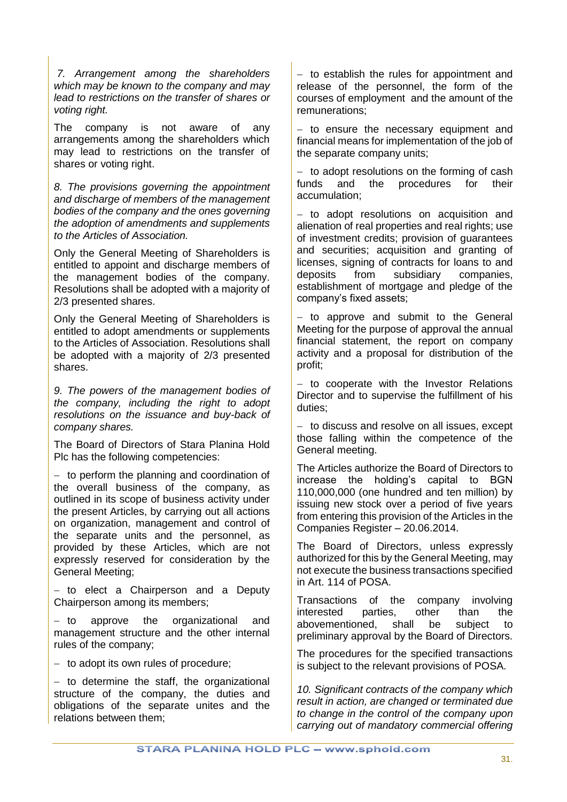*7. Arrangement among the shareholders which may be known to the company and may lead to restrictions on the transfer of shares or voting right.*

The company is not aware of any arrangements among the shareholders which may lead to restrictions on the transfer of shares or voting right.

*8. The provisions governing the appointment and discharge of members of the management bodies of the company and the ones governing the adoption of amendments and supplements to the Articles of Association.*

Only the General Meeting of Shareholders is entitled to appoint and discharge members of the management bodies of the company. Resolutions shall be adopted with a majority of 2/3 presented shares.

Only the General Meeting of Shareholders is entitled to adopt amendments or supplements to the Articles of Association. Resolutions shall be adopted with a majority of 2/3 presented shares.

*9. The powers of the management bodies of the company, including the right to adopt resolutions on the issuance and buy-back of company shares.*

The Board of Directors of Stara Planina Hold Plc has the following competencies:

 $-$  to perform the planning and coordination of the overall business of the company, as outlined in its scope of business activity under the present Articles, by carrying out all actions on organization, management and control of the separate units and the personnel, as provided by these Articles, which are not expressly reserved for consideration by the General Meeting;

- to elect a Chairperson and a Deputy Chairperson among its members;

- to approve the organizational and management structure and the other internal rules of the company;

 $-$  to adopt its own rules of procedure;

 $-$  to determine the staff, the organizational structure of the company, the duties and obligations of the separate unites and the relations between them;

- to establish the rules for appointment and release of the personnel, the form of the courses of employment and the amount of the remunerations;

 $-$  to ensure the necessary equipment and financial means for implementation of the job of the separate company units;

 $-$  to adopt resolutions on the forming of cash funds and the procedures for their accumulation;

- to adopt resolutions on acquisition and alienation of real properties and real rights; use of investment credits; provision of guarantees and securities; acquisition and granting of licenses, signing of contracts for loans to and deposits from subsidiary companies, establishment of mortgage and pledge of the company's fixed assets;

 $-$  to approve and submit to the General Meeting for the purpose of approval the annual financial statement, the report on company activity and a proposal for distribution of the profit;

- to cooperate with the Investor Relations Director and to supervise the fulfillment of his duties;

- to discuss and resolve on all issues, except those falling within the competence of the General meeting.

The Articles authorize the Board of Directors to increase the holding's capital to BGN 110,000,000 (one hundred and ten million) by issuing new stock over a period of five years from entering this provision of the Articles in the Companies Register – 20.06.2014.

The Board of Directors, unless expressly authorized for this by the General Meeting, may not execute the business transactions specified in Art. 114 of POSA.

Transactions of the company involving interested parties, other than the abovementioned, shall be subject to preliminary approval by the Board of Directors.

The procedures for the specified transactions is subject to the relevant provisions of POSA.

*10. Significant contracts of the company which result in action, are changed or terminated due to change in the control of the company upon carrying out of mandatory commercial offering*